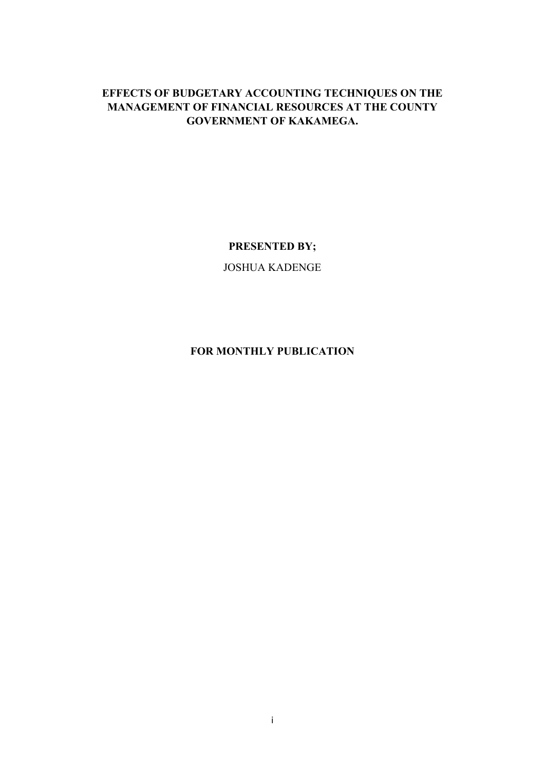# **EFFECTS OF BUDGETARY ACCOUNTING TECHNIQUES ON THE MANAGEMENT OF FINANCIAL RESOURCES AT THE COUNTY GOVERNMENT OF KAKAMEGA.**

# **PRESENTED BY;**

JOSHUA KADENGE

# **FOR MONTHLY PUBLICATION**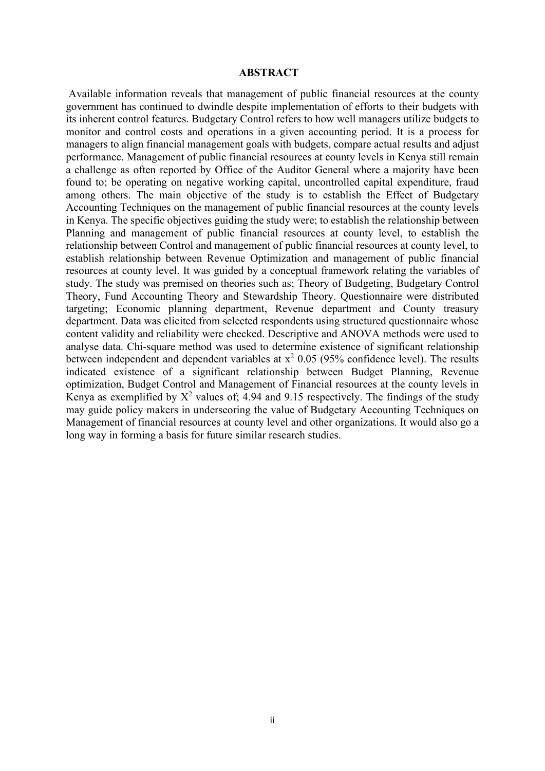#### <span id="page-1-0"></span> **ABSTRACT**

Available information reveals that management of public financial resources at the county government has continued to dwindle despite implementation of efforts to their budgets with its inherent control features. Budgetary Control refers to how well managers utilize budgets to monitor and control costs and operations in a given accounting period. It is a process for managers to align financial management goals with budgets, compare actual results and adjust performance. Management of public financial resources at county levels in Kenya still remain a challenge as often reported by Office of the Auditor General where a majority have been found to; be operating on negative working capital, uncontrolled capital expenditure, fraud among others. The main objective of the study is to establish the Effect of Budgetary Accounting Techniques on the management of public financial resources at the county levels in Kenya. The specific objectives guiding the study were; to establish the relationship between Planning and management of public financial resources at county level, to establish the relationship between Control and management of public financial resources at county level, to establish relationship between Revenue Optimization and management of public financial resources at county level. It was guided by a conceptual framework relating the variables of study. The study was premised on theories such as; Theory of Budgeting, Budgetary Control Theory, Fund Accounting Theory and Stewardship Theory. Questionnaire were distributed targeting; Economic planning department, Revenue department and County treasury department. Data was elicited from selected respondents using structured questionnaire whose content validity and reliability were checked. Descriptive and ANOVA methods were used to analyse data. Chi-square method was used to determine existence of significant relationship between independent and dependent variables at  $x^2$  0.05 (95% confidence level). The results indicated existence of a significant relationship between Budget Planning, Revenue optimization, Budget Control and Management of Financial resources at the county levels in Kenya as exemplified by  $X^2$  values of; 4.94 and 9.15 respectively. The findings of the study may guide policy makers in underscoring the value of Budgetary Accounting Techniques on Management of financial resources at county level and other organizations. It would also go a long way in forming a basis for future similar research studies.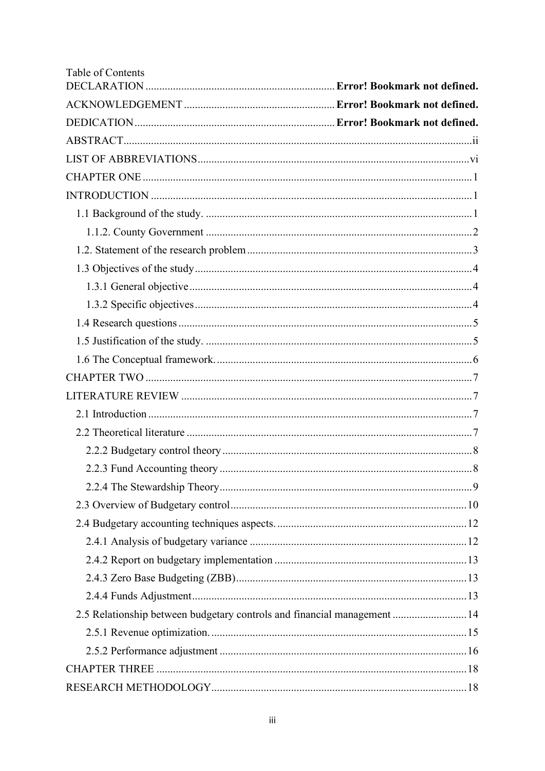| Table of Contents                                                        |  |
|--------------------------------------------------------------------------|--|
|                                                                          |  |
|                                                                          |  |
|                                                                          |  |
|                                                                          |  |
|                                                                          |  |
|                                                                          |  |
|                                                                          |  |
|                                                                          |  |
|                                                                          |  |
|                                                                          |  |
|                                                                          |  |
|                                                                          |  |
|                                                                          |  |
|                                                                          |  |
|                                                                          |  |
|                                                                          |  |
|                                                                          |  |
|                                                                          |  |
|                                                                          |  |
|                                                                          |  |
|                                                                          |  |
|                                                                          |  |
|                                                                          |  |
|                                                                          |  |
|                                                                          |  |
|                                                                          |  |
|                                                                          |  |
|                                                                          |  |
| 2.5 Relationship between budgetary controls and financial management  14 |  |
|                                                                          |  |
|                                                                          |  |
|                                                                          |  |
|                                                                          |  |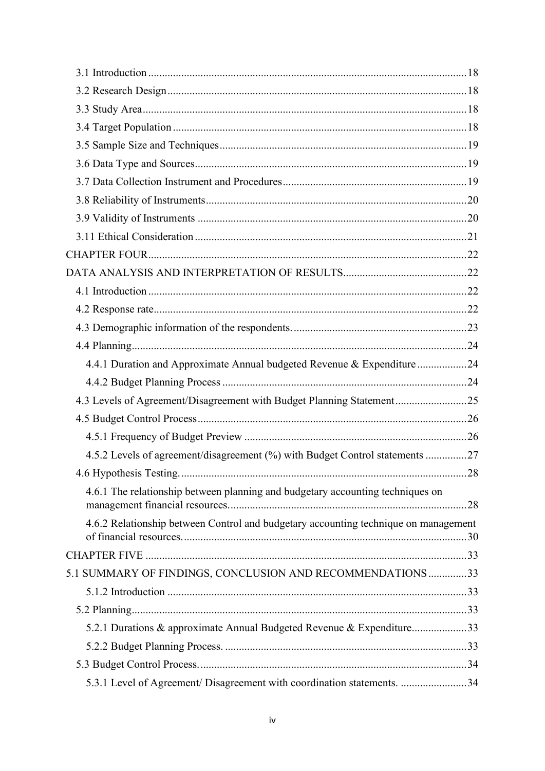| 4.4.1 Duration and Approximate Annual budgeted Revenue & Expenditure24              |  |
|-------------------------------------------------------------------------------------|--|
|                                                                                     |  |
| 4.3 Levels of Agreement/Disagreement with Budget Planning Statement25               |  |
|                                                                                     |  |
|                                                                                     |  |
| 4.5.2 Levels of agreement/disagreement (%) with Budget Control statements 27        |  |
|                                                                                     |  |
| 4.6.1 The relationship between planning and budgetary accounting techniques on      |  |
| 4.6.2 Relationship between Control and budgetary accounting technique on management |  |
|                                                                                     |  |
| 5.1 SUMMARY OF FINDINGS, CONCLUSION AND RECOMMENDATIONS 33                          |  |
|                                                                                     |  |
|                                                                                     |  |
| 5.2.1 Durations & approximate Annual Budgeted Revenue & Expenditure33               |  |
|                                                                                     |  |
|                                                                                     |  |
| 5.3.1 Level of Agreement/ Disagreement with coordination statements. 34             |  |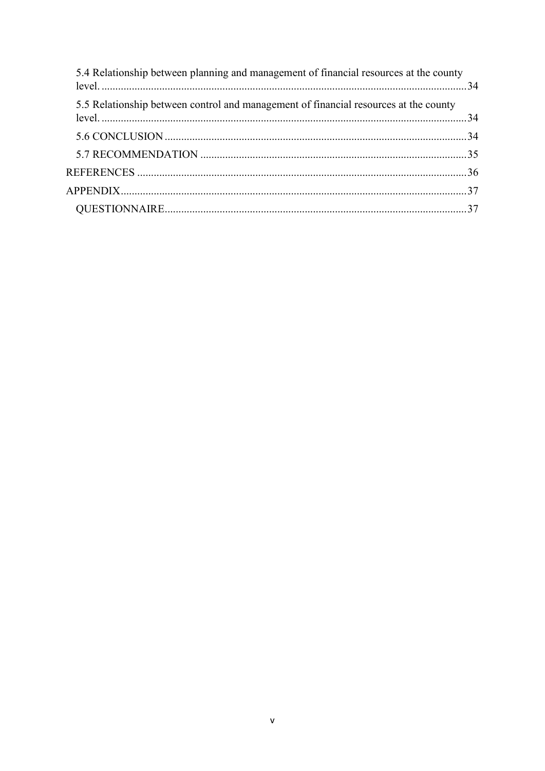| 5.4 Relationship between planning and management of financial resources at the county |  |
|---------------------------------------------------------------------------------------|--|
| 5.5 Relationship between control and management of financial resources at the county  |  |
|                                                                                       |  |
|                                                                                       |  |
|                                                                                       |  |
|                                                                                       |  |
|                                                                                       |  |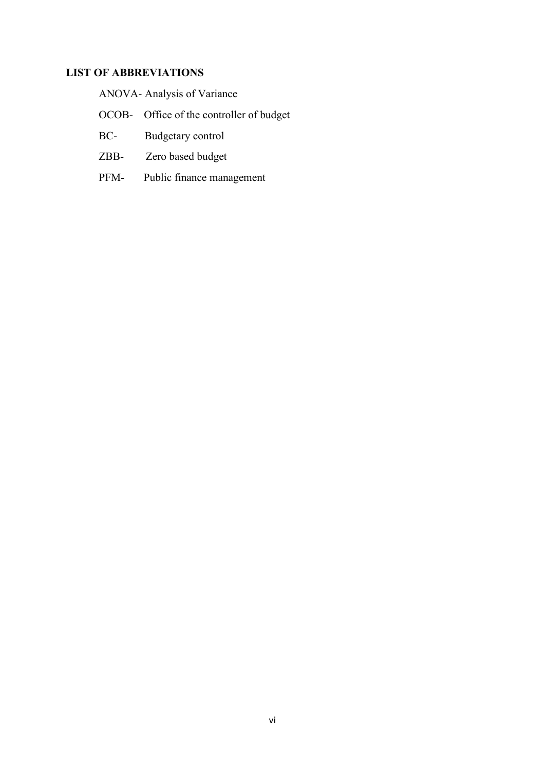# <span id="page-5-0"></span>**LIST OF ABBREVIATIONS**

|  |  | ANOVA- Analysis of Variance |
|--|--|-----------------------------|
|--|--|-----------------------------|

- OCOB- Office of the controller of budget
- BC- Budgetary control
- ZBB- Zero based budget
- PFM- Public finance management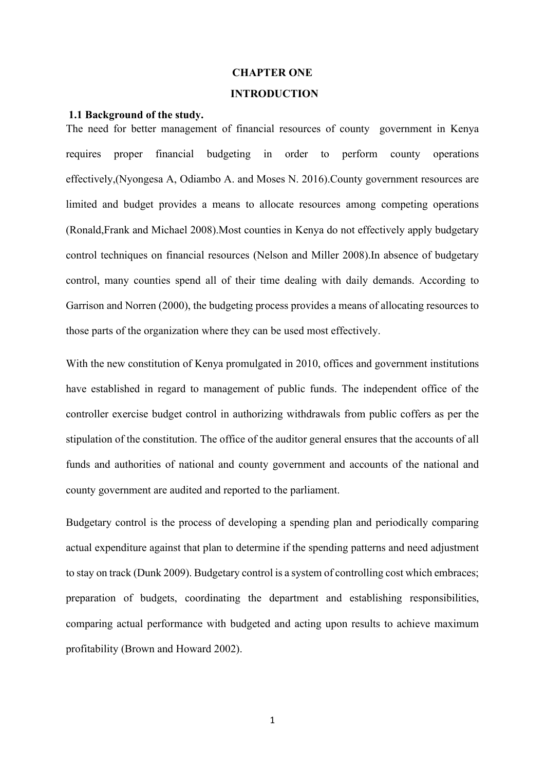#### **CHAPTER ONE**

#### <span id="page-6-1"></span> **INTRODUCTION**

#### <span id="page-6-2"></span><span id="page-6-0"></span>**1.1 Background of the study.**

The need for better management of financial resources of county government in Kenya requires proper financial budgeting in order to perform county operations effectively,(Nyongesa A, Odiambo A. and Moses N. 2016).County government resources are limited and budget provides a means to allocate resources among competing operations (Ronald,Frank and Michael 2008).Most counties in Kenya do not effectively apply budgetary control techniques on financial resources (Nelson and Miller 2008).In absence of budgetary control, many counties spend all of their time dealing with daily demands. According to Garrison and Norren (2000), the budgeting process provides a means of allocating resources to those parts of the organization where they can be used most effectively.

With the new constitution of Kenya promulgated in 2010, offices and government institutions have established in regard to management of public funds. The independent office of the controller exercise budget control in authorizing withdrawals from public coffers as per the stipulation of the constitution. The office of the auditor general ensures that the accounts of all funds and authorities of national and county government and accounts of the national and county government are audited and reported to the parliament.

Budgetary control is the process of developing a spending plan and periodically comparing actual expenditure against that plan to determine if the spending patterns and need adjustment to stay on track (Dunk 2009). Budgetary control is a system of controlling cost which embraces; preparation of budgets, coordinating the department and establishing responsibilities, comparing actual performance with budgeted and acting upon results to achieve maximum profitability (Brown and Howard 2002).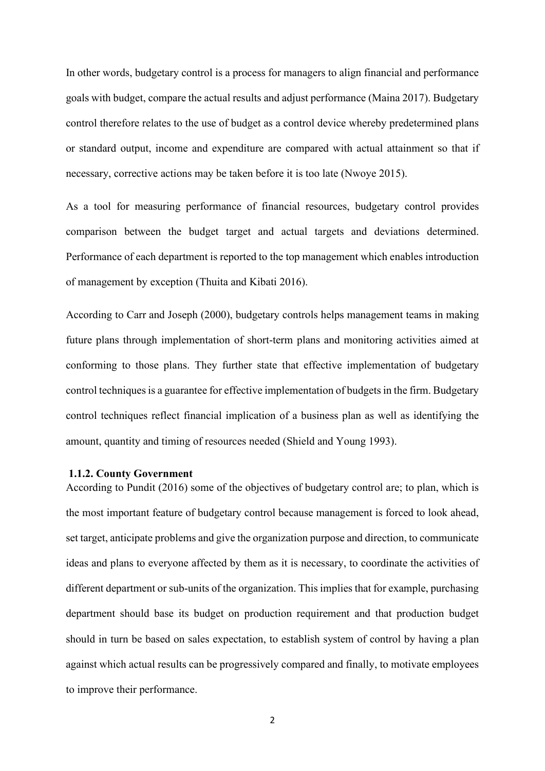In other words, budgetary control is a process for managers to align financial and performance goals with budget, compare the actual results and adjust performance (Maina 2017). Budgetary control therefore relates to the use of budget as a control device whereby predetermined plans or standard output, income and expenditure are compared with actual attainment so that if necessary, corrective actions may be taken before it is too late (Nwoye 2015).

As a tool for measuring performance of financial resources, budgetary control provides comparison between the budget target and actual targets and deviations determined. Performance of each department is reported to the top management which enables introduction of management by exception (Thuita and Kibati 2016).

According to Carr and Joseph (2000), budgetary controls helps management teams in making future plans through implementation of short-term plans and monitoring activities aimed at conforming to those plans. They further state that effective implementation of budgetary control techniques is a guarantee for effective implementation of budgets in the firm. Budgetary control techniques reflect financial implication of a business plan as well as identifying the amount, quantity and timing of resources needed (Shield and Young 1993).

#### <span id="page-7-0"></span>**1.1.2. County Government**

According to Pundit (2016) some of the objectives of budgetary control are; to plan, which is the most important feature of budgetary control because management is forced to look ahead, set target, anticipate problems and give the organization purpose and direction, to communicate ideas and plans to everyone affected by them as it is necessary, to coordinate the activities of different department or sub-units of the organization. This implies that for example, purchasing department should base its budget on production requirement and that production budget should in turn be based on sales expectation, to establish system of control by having a plan against which actual results can be progressively compared and finally, to motivate employees to improve their performance.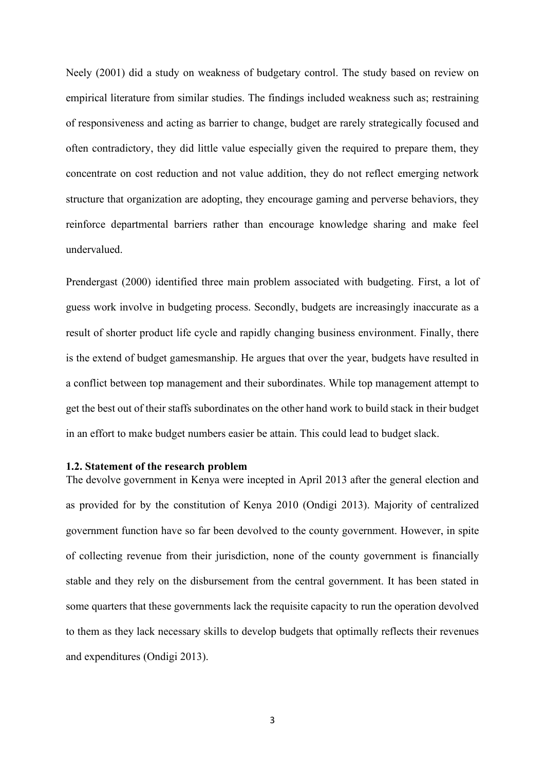Neely (2001) did a study on weakness of budgetary control. The study based on review on empirical literature from similar studies. The findings included weakness such as; restraining of responsiveness and acting as barrier to change, budget are rarely strategically focused and often contradictory, they did little value especially given the required to prepare them, they concentrate on cost reduction and not value addition, they do not reflect emerging network structure that organization are adopting, they encourage gaming and perverse behaviors, they reinforce departmental barriers rather than encourage knowledge sharing and make feel undervalued.

Prendergast (2000) identified three main problem associated with budgeting. First, a lot of guess work involve in budgeting process. Secondly, budgets are increasingly inaccurate as a result of shorter product life cycle and rapidly changing business environment. Finally, there is the extend of budget gamesmanship. He argues that over the year, budgets have resulted in a conflict between top management and their subordinates. While top management attempt to get the best out of their staffs subordinates on the other hand work to build stack in their budget in an effort to make budget numbers easier be attain. This could lead to budget slack.

#### <span id="page-8-0"></span>**1.2. Statement of the research problem**

The devolve government in Kenya were incepted in April 2013 after the general election and as provided for by the constitution of Kenya 2010 (Ondigi 2013). Majority of centralized government function have so far been devolved to the county government. However, in spite of collecting revenue from their jurisdiction, none of the county government is financially stable and they rely on the disbursement from the central government. It has been stated in some quarters that these governments lack the requisite capacity to run the operation devolved to them as they lack necessary skills to develop budgets that optimally reflects their revenues and expenditures (Ondigi 2013).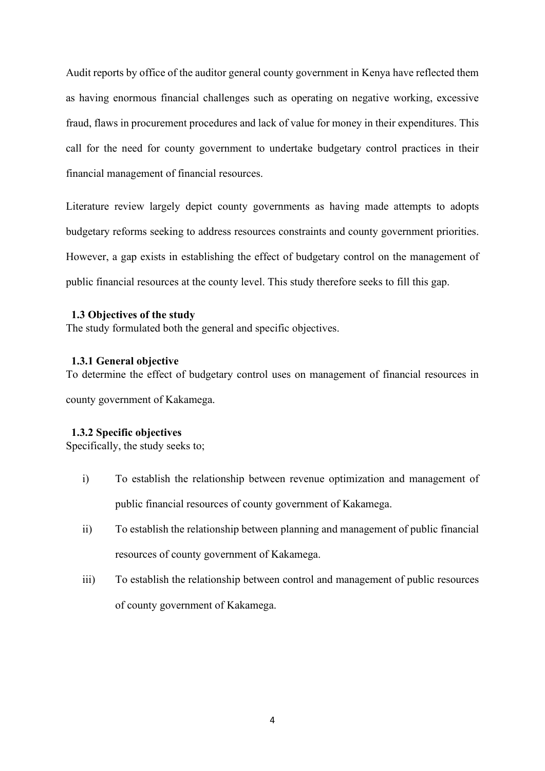Audit reports by office of the auditor general county government in Kenya have reflected them as having enormous financial challenges such as operating on negative working, excessive fraud, flaws in procurement procedures and lack of value for money in their expenditures. This call for the need for county government to undertake budgetary control practices in their financial management of financial resources.

Literature review largely depict county governments as having made attempts to adopts budgetary reforms seeking to address resources constraints and county government priorities. However, a gap exists in establishing the effect of budgetary control on the management of public financial resources at the county level. This study therefore seeks to fill this gap.

#### <span id="page-9-0"></span> **1.3 Objectives of the study**

The study formulated both the general and specific objectives.

#### <span id="page-9-1"></span> **1.3.1 General objective**

To determine the effect of budgetary control uses on management of financial resources in

county government of Kakamega.

#### <span id="page-9-2"></span> **1.3.2 Specific objectives**

Specifically, the study seeks to;

- i) To establish the relationship between revenue optimization and management of public financial resources of county government of Kakamega.
- ii) To establish the relationship between planning and management of public financial resources of county government of Kakamega.
- iii) To establish the relationship between control and management of public resources of county government of Kakamega.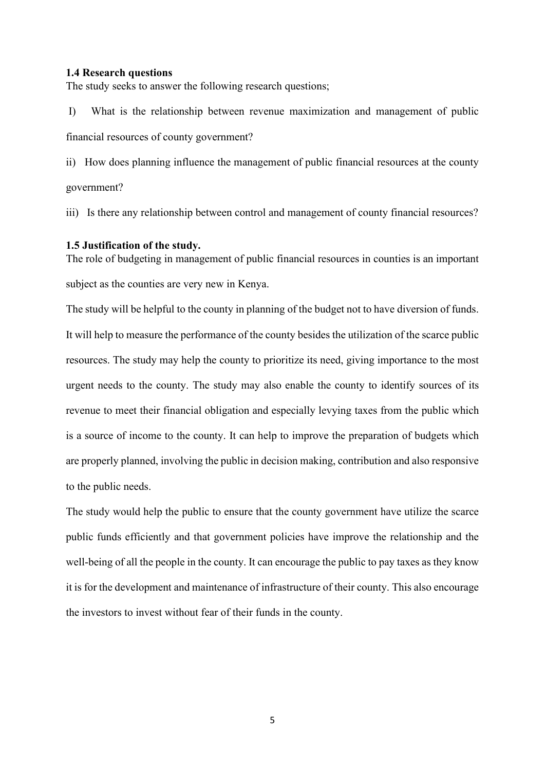#### <span id="page-10-0"></span>**1.4 Research questions**

The study seeks to answer the following research questions;

I) What is the relationship between revenue maximization and management of public financial resources of county government?

ii) How does planning influence the management of public financial resources at the county government?

iii) Is there any relationship between control and management of county financial resources?

#### <span id="page-10-1"></span>**1.5 Justification of the study.**

The role of budgeting in management of public financial resources in counties is an important subject as the counties are very new in Kenya.

The study will be helpful to the county in planning of the budget not to have diversion of funds. It will help to measure the performance of the county besides the utilization of the scarce public resources. The study may help the county to prioritize its need, giving importance to the most urgent needs to the county. The study may also enable the county to identify sources of its revenue to meet their financial obligation and especially levying taxes from the public which is a source of income to the county. It can help to improve the preparation of budgets which are properly planned, involving the public in decision making, contribution and also responsive to the public needs.

The study would help the public to ensure that the county government have utilize the scarce public funds efficiently and that government policies have improve the relationship and the well-being of all the people in the county. It can encourage the public to pay taxes as they know it is for the development and maintenance of infrastructure of their county. This also encourage the investors to invest without fear of their funds in the county.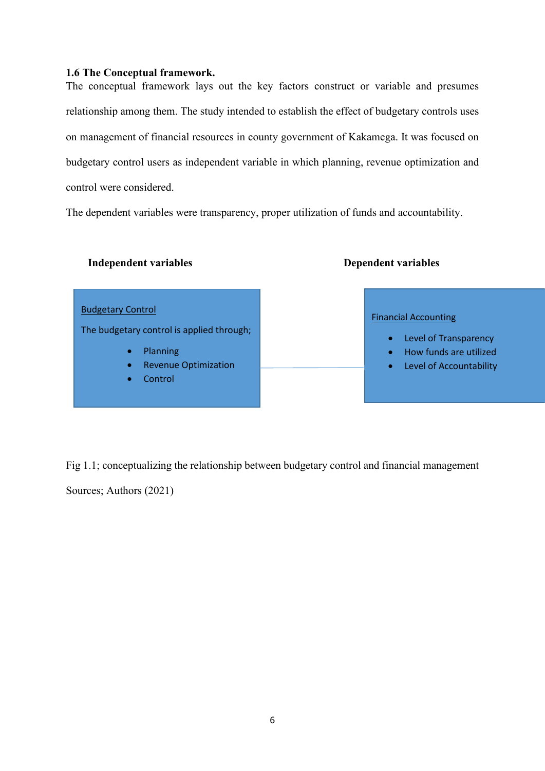# <span id="page-11-0"></span>**1.6 The Conceptual framework.**

The conceptual framework lays out the key factors construct or variable and presumes relationship among them. The study intended to establish the effect of budgetary controls uses on management of financial resources in county government of Kakamega. It was focused on budgetary control users as independent variable in which planning, revenue optimization and control were considered.

The dependent variables were transparency, proper utilization of funds and accountability.

#### **Independent variables** Dependent variables

# Budgetary Control The budgetary control is applied through; • Planning • Revenue Optimization **Control** Financial Accounting • Level of Transparency • How funds are utilized • Level of Accountability

Fig 1.1; conceptualizing the relationship between budgetary control and financial management

Sources; Authors (2021)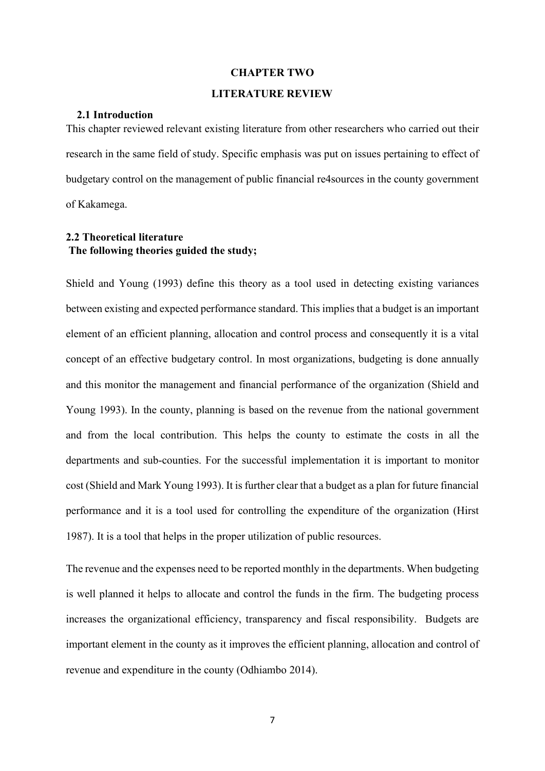#### **CHAPTER TWO**

#### <span id="page-12-1"></span> **LITERATURE REVIEW**

# <span id="page-12-2"></span><span id="page-12-0"></span> **2.1 Introduction**

This chapter reviewed relevant existing literature from other researchers who carried out their research in the same field of study. Specific emphasis was put on issues pertaining to effect of budgetary control on the management of public financial re4sources in the county government of Kakamega.

# <span id="page-12-3"></span>**2.2 Theoretical literature The following theories guided the study;**

Shield and Young (1993) define this theory as a tool used in detecting existing variances between existing and expected performance standard. This implies that a budget is an important element of an efficient planning, allocation and control process and consequently it is a vital concept of an effective budgetary control. In most organizations, budgeting is done annually and this monitor the management and financial performance of the organization (Shield and Young 1993). In the county, planning is based on the revenue from the national government and from the local contribution. This helps the county to estimate the costs in all the departments and sub-counties. For the successful implementation it is important to monitor cost (Shield and Mark Young 1993). It is further clear that a budget as a plan for future financial performance and it is a tool used for controlling the expenditure of the organization (Hirst 1987). It is a tool that helps in the proper utilization of public resources.

The revenue and the expenses need to be reported monthly in the departments. When budgeting is well planned it helps to allocate and control the funds in the firm. The budgeting process increases the organizational efficiency, transparency and fiscal responsibility. Budgets are important element in the county as it improves the efficient planning, allocation and control of revenue and expenditure in the county (Odhiambo 2014).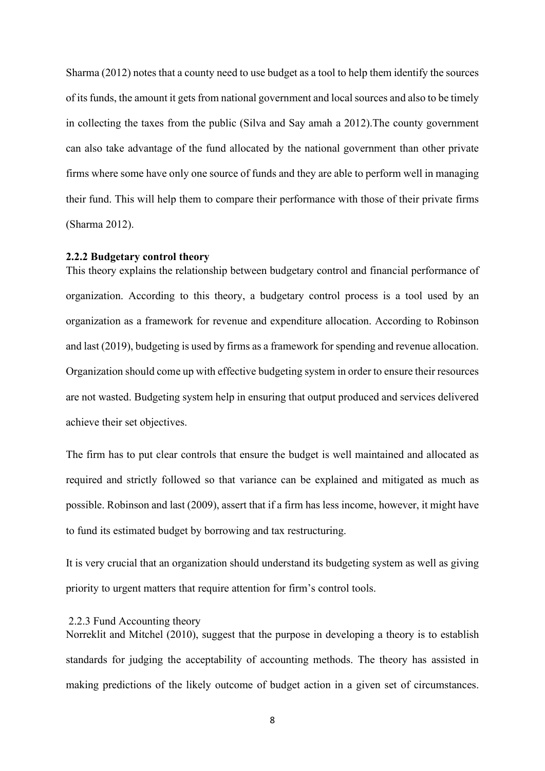Sharma (2012) notes that a county need to use budget as a tool to help them identify the sources of its funds, the amount it gets from national government and local sources and also to be timely in collecting the taxes from the public (Silva and Say amah a 2012).The county government can also take advantage of the fund allocated by the national government than other private firms where some have only one source of funds and they are able to perform well in managing their fund. This will help them to compare their performance with those of their private firms (Sharma 2012).

#### <span id="page-13-0"></span>**2.2.2 Budgetary control theory**

This theory explains the relationship between budgetary control and financial performance of organization. According to this theory, a budgetary control process is a tool used by an organization as a framework for revenue and expenditure allocation. According to Robinson and last (2019), budgeting is used by firms as a framework for spending and revenue allocation. Organization should come up with effective budgeting system in order to ensure their resources are not wasted. Budgeting system help in ensuring that output produced and services delivered achieve their set objectives.

The firm has to put clear controls that ensure the budget is well maintained and allocated as required and strictly followed so that variance can be explained and mitigated as much as possible. Robinson and last (2009), assert that if a firm has less income, however, it might have to fund its estimated budget by borrowing and tax restructuring.

It is very crucial that an organization should understand its budgeting system as well as giving priority to urgent matters that require attention for firm's control tools.

#### <span id="page-13-1"></span>2.2.3 Fund Accounting theory

Norreklit and Mitchel (2010), suggest that the purpose in developing a theory is to establish standards for judging the acceptability of accounting methods. The theory has assisted in making predictions of the likely outcome of budget action in a given set of circumstances.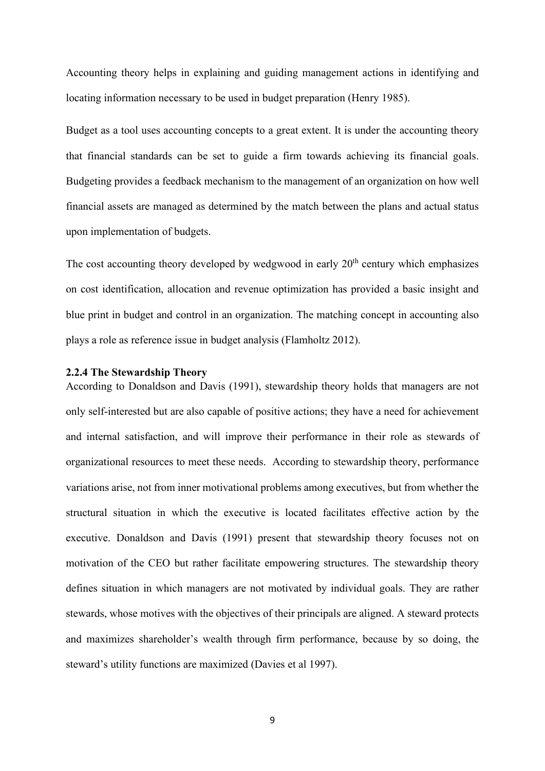Accounting theory helps in explaining and guiding management actions in identifying and locating information necessary to be used in budget preparation (Henry 1985).

Budget as a tool uses accounting concepts to a great extent. It is under the accounting theory that financial standards can be set to guide a firm towards achieving its financial goals. Budgeting provides a feedback mechanism to the management of an organization on how well financial assets are managed as determined by the match between the plans and actual status upon implementation of budgets.

The cost accounting theory developed by wedgwood in early  $20<sup>th</sup>$  century which emphasizes on cost identification, allocation and revenue optimization has provided a basic insight and blue print in budget and control in an organization. The matching concept in accounting also plays a role as reference issue in budget analysis (Flamholtz 2012).

#### <span id="page-14-0"></span>**2.2.4 The Stewardship Theory**

According to Donaldson and Davis (1991), stewardship theory holds that managers are not only self-interested but are also capable of positive actions; they have a need for achievement and internal satisfaction, and will improve their performance in their role as stewards of organizational resources to meet these needs. According to stewardship theory, performance variations arise, not from inner motivational problems among executives, but from whether the structural situation in which the executive is located facilitates effective action by the executive. Donaldson and Davis (1991) present that stewardship theory focuses not on motivation of the CEO but rather facilitate empowering structures. The stewardship theory defines situation in which managers are not motivated by individual goals. They are rather stewards, whose motives with the objectives of their principals are aligned. A steward protects and maximizes shareholder's wealth through firm performance, because by so doing, the steward's utility functions are maximized (Davies et al 1997).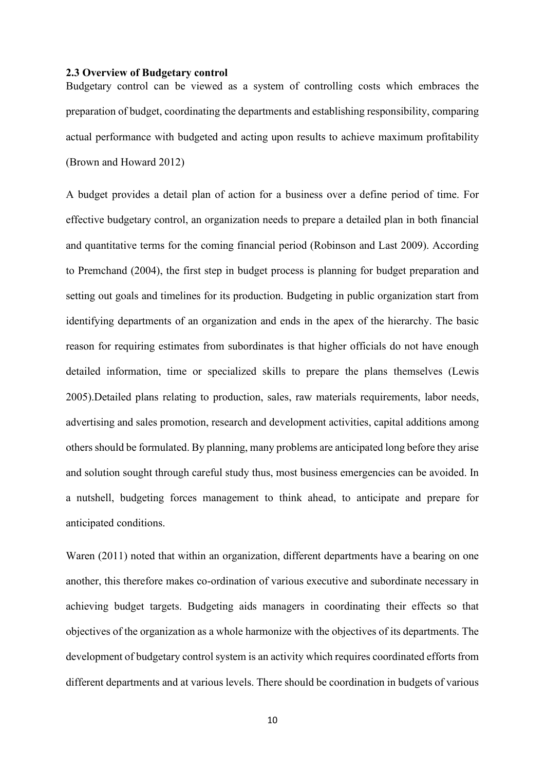#### <span id="page-15-0"></span>**2.3 Overview of Budgetary control**

Budgetary control can be viewed as a system of controlling costs which embraces the preparation of budget, coordinating the departments and establishing responsibility, comparing actual performance with budgeted and acting upon results to achieve maximum profitability (Brown and Howard 2012)

A budget provides a detail plan of action for a business over a define period of time. For effective budgetary control, an organization needs to prepare a detailed plan in both financial and quantitative terms for the coming financial period (Robinson and Last 2009). According to Premchand (2004), the first step in budget process is planning for budget preparation and setting out goals and timelines for its production. Budgeting in public organization start from identifying departments of an organization and ends in the apex of the hierarchy. The basic reason for requiring estimates from subordinates is that higher officials do not have enough detailed information, time or specialized skills to prepare the plans themselves (Lewis 2005).Detailed plans relating to production, sales, raw materials requirements, labor needs, advertising and sales promotion, research and development activities, capital additions among others should be formulated. By planning, many problems are anticipated long before they arise and solution sought through careful study thus, most business emergencies can be avoided. In a nutshell, budgeting forces management to think ahead, to anticipate and prepare for anticipated conditions.

Waren (2011) noted that within an organization, different departments have a bearing on one another, this therefore makes co-ordination of various executive and subordinate necessary in achieving budget targets. Budgeting aids managers in coordinating their effects so that objectives of the organization as a whole harmonize with the objectives of its departments. The development of budgetary control system is an activity which requires coordinated efforts from different departments and at various levels. There should be coordination in budgets of various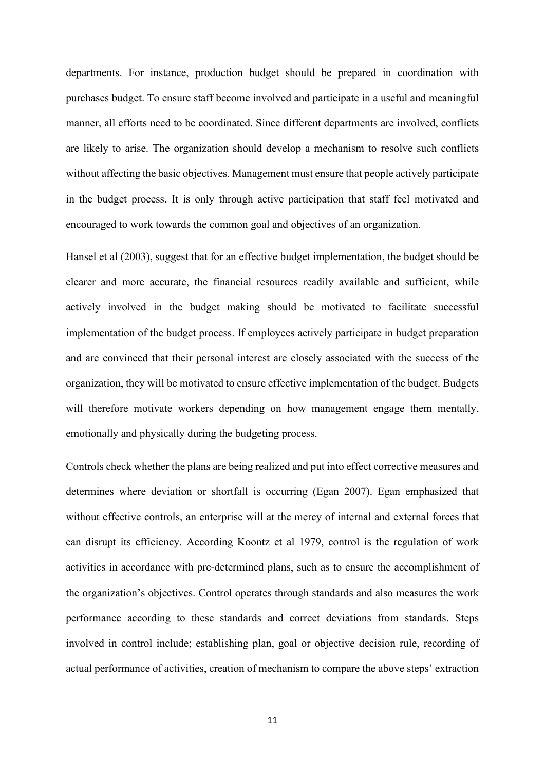departments. For instance, production budget should be prepared in coordination with purchases budget. To ensure staff become involved and participate in a useful and meaningful manner, all efforts need to be coordinated. Since different departments are involved, conflicts are likely to arise. The organization should develop a mechanism to resolve such conflicts without affecting the basic objectives. Management must ensure that people actively participate in the budget process. It is only through active participation that staff feel motivated and encouraged to work towards the common goal and objectives of an organization.

Hansel et al (2003), suggest that for an effective budget implementation, the budget should be clearer and more accurate, the financial resources readily available and sufficient, while actively involved in the budget making should be motivated to facilitate successful implementation of the budget process. If employees actively participate in budget preparation and are convinced that their personal interest are closely associated with the success of the organization, they will be motivated to ensure effective implementation of the budget. Budgets will therefore motivate workers depending on how management engage them mentally, emotionally and physically during the budgeting process.

Controls check whether the plans are being realized and put into effect corrective measures and determines where deviation or shortfall is occurring (Egan 2007). Egan emphasized that without effective controls, an enterprise will at the mercy of internal and external forces that can disrupt its efficiency. According Koontz et al 1979, control is the regulation of work activities in accordance with pre-determined plans, such as to ensure the accomplishment of the organization's objectives. Control operates through standards and also measures the work performance according to these standards and correct deviations from standards. Steps involved in control include; establishing plan, goal or objective decision rule, recording of actual performance of activities, creation of mechanism to compare the above steps' extraction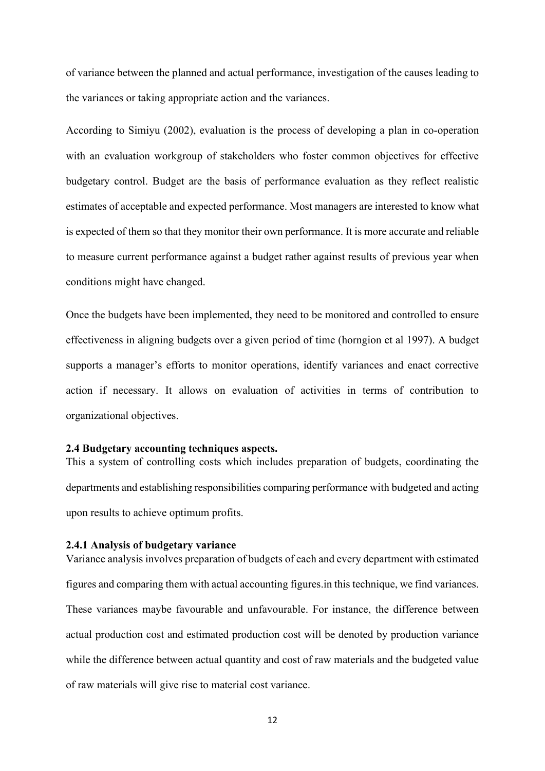of variance between the planned and actual performance, investigation of the causes leading to the variances or taking appropriate action and the variances.

According to Simiyu (2002), evaluation is the process of developing a plan in co-operation with an evaluation workgroup of stakeholders who foster common objectives for effective budgetary control. Budget are the basis of performance evaluation as they reflect realistic estimates of acceptable and expected performance. Most managers are interested to know what is expected of them so that they monitor their own performance. It is more accurate and reliable to measure current performance against a budget rather against results of previous year when conditions might have changed.

Once the budgets have been implemented, they need to be monitored and controlled to ensure effectiveness in aligning budgets over a given period of time (horngion et al 1997). A budget supports a manager's efforts to monitor operations, identify variances and enact corrective action if necessary. It allows on evaluation of activities in terms of contribution to organizational objectives.

#### <span id="page-17-0"></span>**2.4 Budgetary accounting techniques aspects.**

This a system of controlling costs which includes preparation of budgets, coordinating the departments and establishing responsibilities comparing performance with budgeted and acting upon results to achieve optimum profits.

### <span id="page-17-1"></span>**2.4.1 Analysis of budgetary variance**

Variance analysis involves preparation of budgets of each and every department with estimated figures and comparing them with actual accounting figures.in this technique, we find variances. These variances maybe favourable and unfavourable. For instance, the difference between actual production cost and estimated production cost will be denoted by production variance while the difference between actual quantity and cost of raw materials and the budgeted value of raw materials will give rise to material cost variance.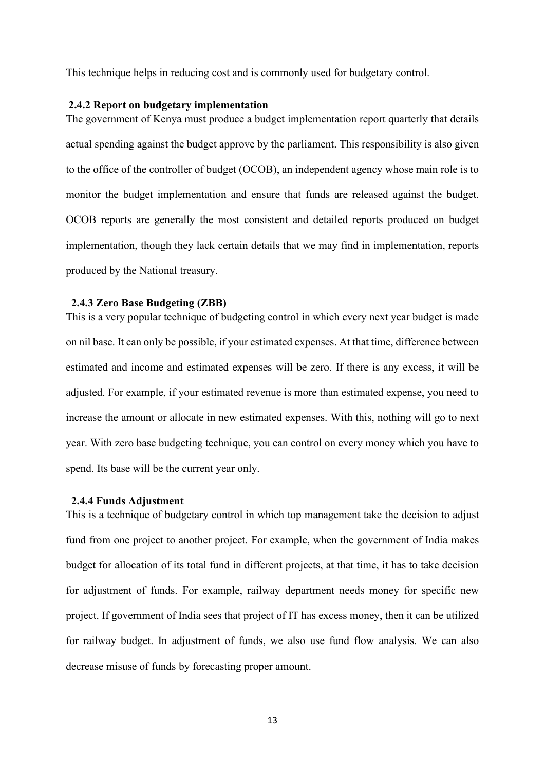This technique helps in reducing cost and is commonly used for budgetary control.

#### <span id="page-18-0"></span>**2.4.2 Report on budgetary implementation**

The government of Kenya must produce a budget implementation report quarterly that details actual spending against the budget approve by the parliament. This responsibility is also given to the office of the controller of budget (OCOB), an independent agency whose main role is to monitor the budget implementation and ensure that funds are released against the budget. OCOB reports are generally the most consistent and detailed reports produced on budget implementation, though they lack certain details that we may find in implementation, reports produced by the National treasury.

#### <span id="page-18-1"></span> **2.4.3 Zero Base Budgeting (ZBB)**

This is a very popular technique of budgeting control in which every next year budget is made on nil base. It can only be possible, if your estimated expenses. At that time, difference between estimated and income and estimated expenses will be zero. If there is any excess, it will be adjusted. For example, if your estimated revenue is more than estimated expense, you need to increase the amount or allocate in new estimated expenses. With this, nothing will go to next year. With zero base budgeting technique, you can control on every money which you have to spend. Its base will be the current year only.

#### <span id="page-18-2"></span> **2.4.4 Funds Adjustment**

This is a technique of budgetary control in which top management take the decision to adjust fund from one project to another project. For example, when the government of India makes budget for allocation of its total fund in different projects, at that time, it has to take decision for adjustment of funds. For example, railway department needs money for specific new project. If government of India sees that project of IT has excess money, then it can be utilized for railway budget. In adjustment of funds, we also use fund flow analysis. We can also decrease misuse of funds by forecasting proper amount.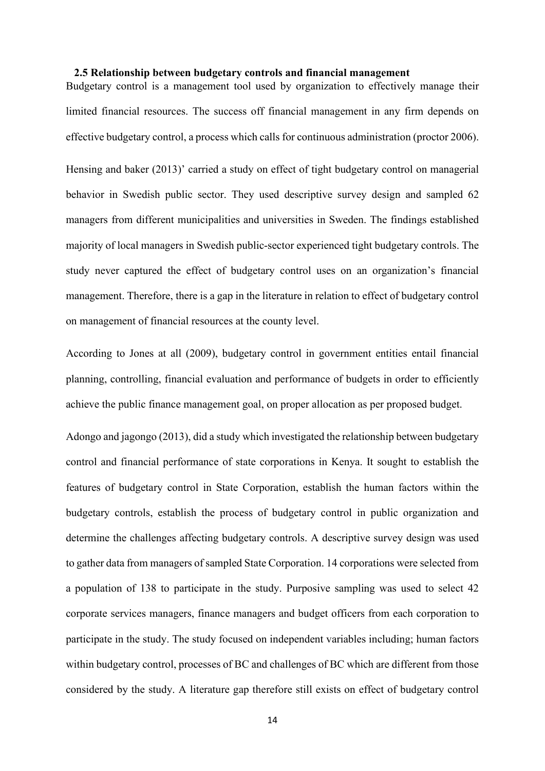#### <span id="page-19-0"></span> **2.5 Relationship between budgetary controls and financial management**

Budgetary control is a management tool used by organization to effectively manage their limited financial resources. The success off financial management in any firm depends on effective budgetary control, a process which calls for continuous administration (proctor 2006).

Hensing and baker (2013)' carried a study on effect of tight budgetary control on managerial behavior in Swedish public sector. They used descriptive survey design and sampled 62 managers from different municipalities and universities in Sweden. The findings established majority of local managers in Swedish public-sector experienced tight budgetary controls. The study never captured the effect of budgetary control uses on an organization's financial management. Therefore, there is a gap in the literature in relation to effect of budgetary control on management of financial resources at the county level.

According to Jones at all (2009), budgetary control in government entities entail financial planning, controlling, financial evaluation and performance of budgets in order to efficiently achieve the public finance management goal, on proper allocation as per proposed budget.

Adongo and jagongo (2013), did a study which investigated the relationship between budgetary control and financial performance of state corporations in Kenya. It sought to establish the features of budgetary control in State Corporation, establish the human factors within the budgetary controls, establish the process of budgetary control in public organization and determine the challenges affecting budgetary controls. A descriptive survey design was used to gather data from managers of sampled State Corporation. 14 corporations were selected from a population of 138 to participate in the study. Purposive sampling was used to select 42 corporate services managers, finance managers and budget officers from each corporation to participate in the study. The study focused on independent variables including; human factors within budgetary control, processes of BC and challenges of BC which are different from those considered by the study. A literature gap therefore still exists on effect of budgetary control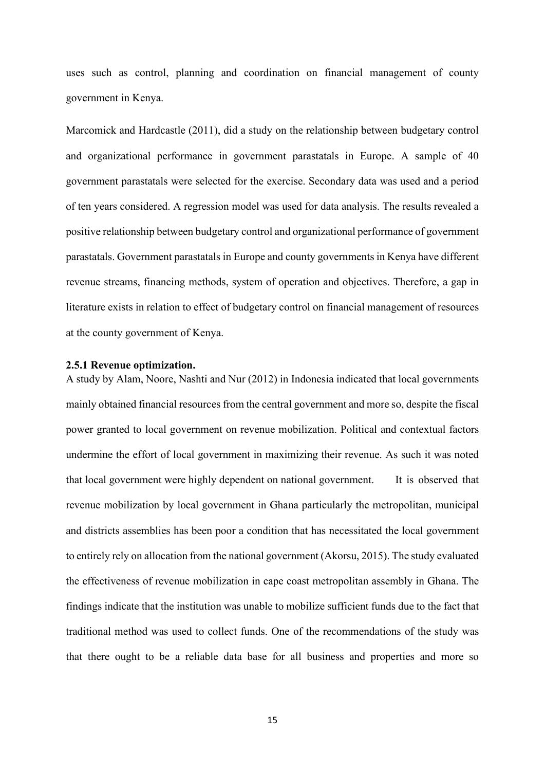uses such as control, planning and coordination on financial management of county government in Kenya.

Marcomick and Hardcastle (2011), did a study on the relationship between budgetary control and organizational performance in government parastatals in Europe. A sample of 40 government parastatals were selected for the exercise. Secondary data was used and a period of ten years considered. A regression model was used for data analysis. The results revealed a positive relationship between budgetary control and organizational performance of government parastatals. Government parastatals in Europe and county governments in Kenya have different revenue streams, financing methods, system of operation and objectives. Therefore, a gap in literature exists in relation to effect of budgetary control on financial management of resources at the county government of Kenya.

#### <span id="page-20-0"></span>**2.5.1 Revenue optimization.**

A study by Alam, Noore, Nashti and Nur (2012) in Indonesia indicated that local governments mainly obtained financial resources from the central government and more so, despite the fiscal power granted to local government on revenue mobilization. Political and contextual factors undermine the effort of local government in maximizing their revenue. As such it was noted that local government were highly dependent on national government. It is observed that revenue mobilization by local government in Ghana particularly the metropolitan, municipal and districts assemblies has been poor a condition that has necessitated the local government to entirely rely on allocation from the national government (Akorsu, 2015). The study evaluated the effectiveness of revenue mobilization in cape coast metropolitan assembly in Ghana. The findings indicate that the institution was unable to mobilize sufficient funds due to the fact that traditional method was used to collect funds. One of the recommendations of the study was that there ought to be a reliable data base for all business and properties and more so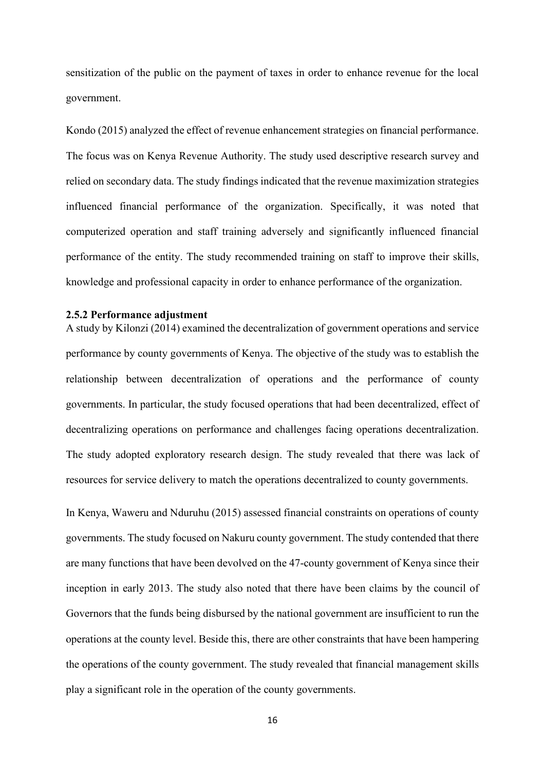sensitization of the public on the payment of taxes in order to enhance revenue for the local government.

Kondo (2015) analyzed the effect of revenue enhancement strategies on financial performance. The focus was on Kenya Revenue Authority. The study used descriptive research survey and relied on secondary data. The study findings indicated that the revenue maximization strategies influenced financial performance of the organization. Specifically, it was noted that computerized operation and staff training adversely and significantly influenced financial performance of the entity. The study recommended training on staff to improve their skills, knowledge and professional capacity in order to enhance performance of the organization.

#### <span id="page-21-0"></span>**2.5.2 Performance adjustment**

A study by Kilonzi (2014) examined the decentralization of government operations and service performance by county governments of Kenya. The objective of the study was to establish the relationship between decentralization of operations and the performance of county governments. In particular, the study focused operations that had been decentralized, effect of decentralizing operations on performance and challenges facing operations decentralization. The study adopted exploratory research design. The study revealed that there was lack of resources for service delivery to match the operations decentralized to county governments.

In Kenya, Waweru and Nduruhu (2015) assessed financial constraints on operations of county governments. The study focused on Nakuru county government. The study contended that there are many functions that have been devolved on the 47-county government of Kenya since their inception in early 2013. The study also noted that there have been claims by the council of Governors that the funds being disbursed by the national government are insufficient to run the operations at the county level. Beside this, there are other constraints that have been hampering the operations of the county government. The study revealed that financial management skills play a significant role in the operation of the county governments.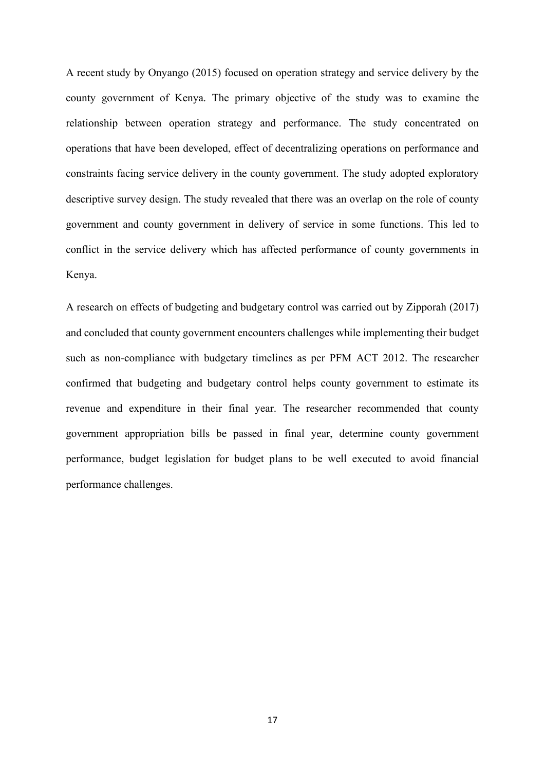A recent study by Onyango (2015) focused on operation strategy and service delivery by the county government of Kenya. The primary objective of the study was to examine the relationship between operation strategy and performance. The study concentrated on operations that have been developed, effect of decentralizing operations on performance and constraints facing service delivery in the county government. The study adopted exploratory descriptive survey design. The study revealed that there was an overlap on the role of county government and county government in delivery of service in some functions. This led to conflict in the service delivery which has affected performance of county governments in Kenya.

A research on effects of budgeting and budgetary control was carried out by Zipporah (2017) and concluded that county government encounters challenges while implementing their budget such as non-compliance with budgetary timelines as per PFM ACT 2012. The researcher confirmed that budgeting and budgetary control helps county government to estimate its revenue and expenditure in their final year. The researcher recommended that county government appropriation bills be passed in final year, determine county government performance, budget legislation for budget plans to be well executed to avoid financial performance challenges.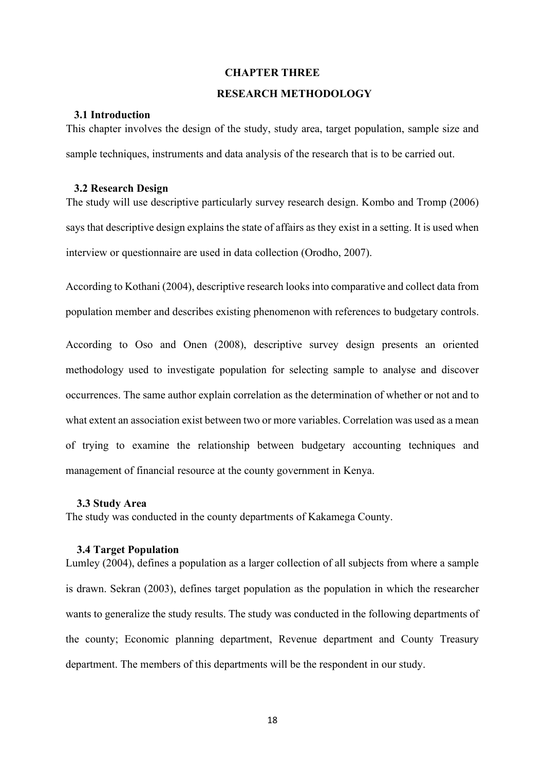#### **CHAPTER THREE**

#### <span id="page-23-1"></span> **RESEARCH METHODOLOGY**

### <span id="page-23-2"></span><span id="page-23-0"></span> **3.1 Introduction**

This chapter involves the design of the study, study area, target population, sample size and sample techniques, instruments and data analysis of the research that is to be carried out.

#### <span id="page-23-3"></span> **3.2 Research Design**

The study will use descriptive particularly survey research design. Kombo and Tromp (2006) says that descriptive design explains the state of affairs as they exist in a setting. It is used when interview or questionnaire are used in data collection (Orodho, 2007).

According to Kothani (2004), descriptive research looks into comparative and collect data from population member and describes existing phenomenon with references to budgetary controls.

According to Oso and Onen (2008), descriptive survey design presents an oriented methodology used to investigate population for selecting sample to analyse and discover occurrences. The same author explain correlation as the determination of whether or not and to what extent an association exist between two or more variables. Correlation was used as a mean of trying to examine the relationship between budgetary accounting techniques and management of financial resource at the county government in Kenya.

#### <span id="page-23-4"></span> **3.3 Study Area**

The study was conducted in the county departments of Kakamega County.

#### <span id="page-23-5"></span> **3.4 Target Population**

Lumley (2004), defines a population as a larger collection of all subjects from where a sample is drawn. Sekran (2003), defines target population as the population in which the researcher wants to generalize the study results. The study was conducted in the following departments of the county; Economic planning department, Revenue department and County Treasury department. The members of this departments will be the respondent in our study.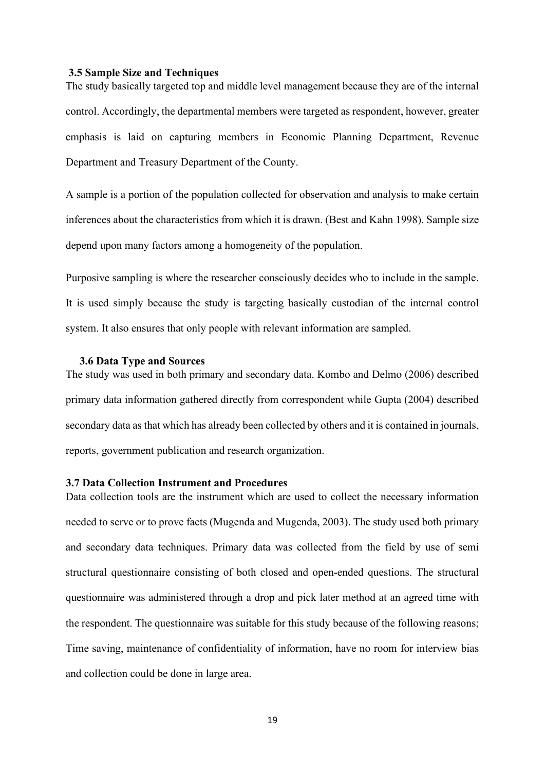#### <span id="page-24-0"></span>**3.5 Sample Size and Techniques**

The study basically targeted top and middle level management because they are of the internal control. Accordingly, the departmental members were targeted as respondent, however, greater emphasis is laid on capturing members in Economic Planning Department, Revenue Department and Treasury Department of the County.

A sample is a portion of the population collected for observation and analysis to make certain inferences about the characteristics from which it is drawn. (Best and Kahn 1998). Sample size depend upon many factors among a homogeneity of the population.

Purposive sampling is where the researcher consciously decides who to include in the sample. It is used simply because the study is targeting basically custodian of the internal control system. It also ensures that only people with relevant information are sampled.

#### <span id="page-24-1"></span> **3.6 Data Type and Sources**

The study was used in both primary and secondary data. Kombo and Delmo (2006) described primary data information gathered directly from correspondent while Gupta (2004) described secondary data as that which has already been collected by others and it is contained in journals, reports, government publication and research organization.

#### <span id="page-24-2"></span>**3.7 Data Collection Instrument and Procedures**

Data collection tools are the instrument which are used to collect the necessary information needed to serve or to prove facts (Mugenda and Mugenda, 2003). The study used both primary and secondary data techniques. Primary data was collected from the field by use of semi structural questionnaire consisting of both closed and open-ended questions. The structural questionnaire was administered through a drop and pick later method at an agreed time with the respondent. The questionnaire was suitable for this study because of the following reasons; Time saving, maintenance of confidentiality of information, have no room for interview bias and collection could be done in large area.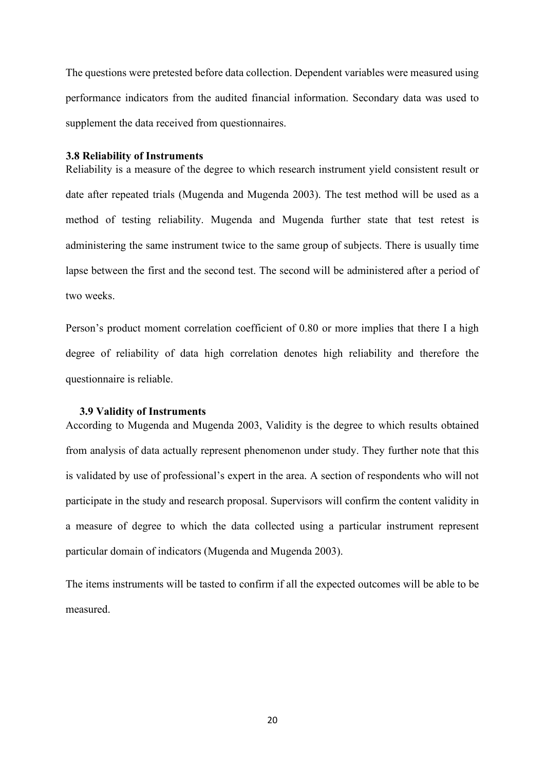The questions were pretested before data collection. Dependent variables were measured using performance indicators from the audited financial information. Secondary data was used to supplement the data received from questionnaires.

#### <span id="page-25-0"></span>**3.8 Reliability of Instruments**

Reliability is a measure of the degree to which research instrument yield consistent result or date after repeated trials (Mugenda and Mugenda 2003). The test method will be used as a method of testing reliability. Mugenda and Mugenda further state that test retest is administering the same instrument twice to the same group of subjects. There is usually time lapse between the first and the second test. The second will be administered after a period of two weeks.

Person's product moment correlation coefficient of 0.80 or more implies that there I a high degree of reliability of data high correlation denotes high reliability and therefore the questionnaire is reliable.

#### <span id="page-25-1"></span> **3.9 Validity of Instruments**

According to Mugenda and Mugenda 2003, Validity is the degree to which results obtained from analysis of data actually represent phenomenon under study. They further note that this is validated by use of professional's expert in the area. A section of respondents who will not participate in the study and research proposal. Supervisors will confirm the content validity in a measure of degree to which the data collected using a particular instrument represent particular domain of indicators (Mugenda and Mugenda 2003).

The items instruments will be tasted to confirm if all the expected outcomes will be able to be measured.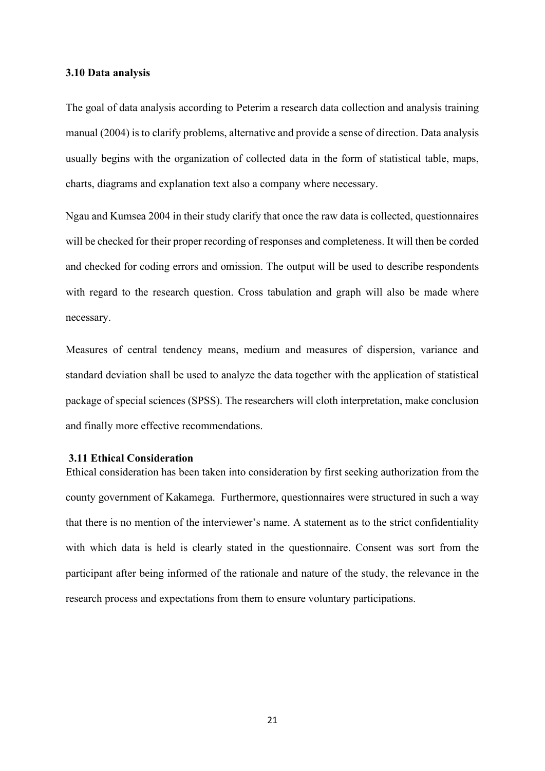#### **3.10 Data analysis**

The goal of data analysis according to Peterim a research data collection and analysis training manual (2004) is to clarify problems, alternative and provide a sense of direction. Data analysis usually begins with the organization of collected data in the form of statistical table, maps, charts, diagrams and explanation text also a company where necessary.

Ngau and Kumsea 2004 in their study clarify that once the raw data is collected, questionnaires will be checked for their proper recording of responses and completeness. It will then be corded and checked for coding errors and omission. The output will be used to describe respondents with regard to the research question. Cross tabulation and graph will also be made where necessary.

Measures of central tendency means, medium and measures of dispersion, variance and standard deviation shall be used to analyze the data together with the application of statistical package of special sciences (SPSS). The researchers will cloth interpretation, make conclusion and finally more effective recommendations.

#### <span id="page-26-0"></span>**3.11 Ethical Consideration**

Ethical consideration has been taken into consideration by first seeking authorization from the county government of Kakamega. Furthermore, questionnaires were structured in such a way that there is no mention of the interviewer's name. A statement as to the strict confidentiality with which data is held is clearly stated in the questionnaire. Consent was sort from the participant after being informed of the rationale and nature of the study, the relevance in the research process and expectations from them to ensure voluntary participations.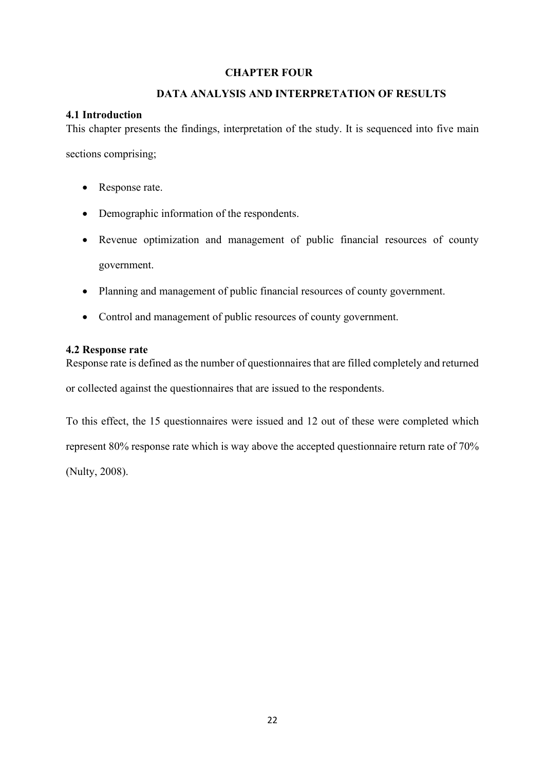# <span id="page-27-0"></span> **CHAPTER FOUR**

# <span id="page-27-1"></span> **DATA ANALYSIS AND INTERPRETATION OF RESULTS**

# <span id="page-27-2"></span>**4.1 Introduction**

This chapter presents the findings, interpretation of the study. It is sequenced into five main sections comprising;

- Response rate.
- Demographic information of the respondents.
- Revenue optimization and management of public financial resources of county government.
- Planning and management of public financial resources of county government.
- Control and management of public resources of county government.

# <span id="page-27-3"></span>**4.2 Response rate**

Response rate is defined as the number of questionnaires that are filled completely and returned or collected against the questionnaires that are issued to the respondents.

To this effect, the 15 questionnaires were issued and 12 out of these were completed which represent 80% response rate which is way above the accepted questionnaire return rate of 70% (Nulty, 2008).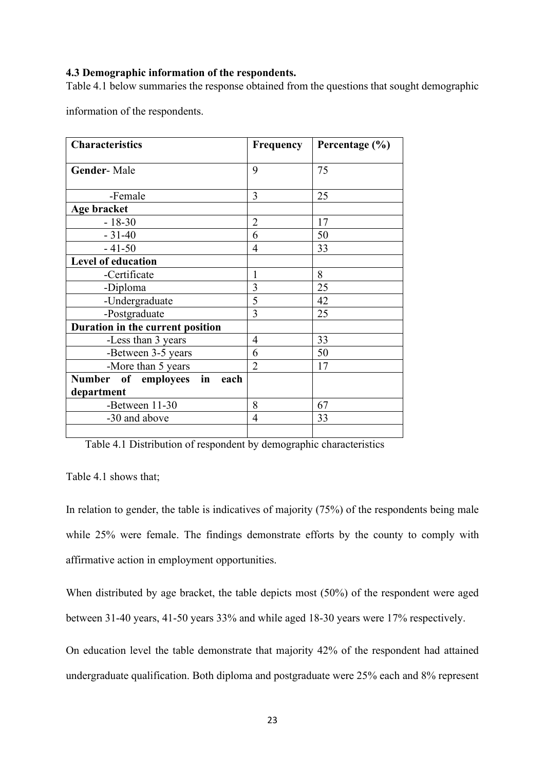#### <span id="page-28-0"></span>**4.3 Demographic information of the respondents.**

Table 4.1 below summaries the response obtained from the questions that sought demographic

information of the respondents.

| <b>Characteristics</b>                   | Frequency      | Percentage (%) |
|------------------------------------------|----------------|----------------|
| <b>Gender-Male</b>                       | 9              | 75             |
| -Female                                  | 3              | 25             |
| Age bracket                              |                |                |
| $-18-30$                                 | $\overline{2}$ | 17             |
| $-31-40$                                 | 6              | 50             |
| $-41-50$                                 | $\overline{4}$ | 33             |
| <b>Level of education</b>                |                |                |
| -Certificate                             | 1              | 8              |
| -Diploma                                 | $\overline{3}$ | 25             |
| -Undergraduate                           | 5              | 42             |
| -Postgraduate                            | 3              | 25             |
| Duration in the current position         |                |                |
| -Less than 3 years                       | $\overline{4}$ | 33             |
| -Between 3-5 years                       | 6              | 50             |
| -More than 5 years                       | $\overline{2}$ | 17             |
| <b>Number</b><br>of employees in<br>each |                |                |
| department                               |                |                |
| -Between 11-30                           | 8              | 67             |
| -30 and above                            | $\overline{4}$ | 33             |
|                                          |                |                |

Table 4.1 Distribution of respondent by demographic characteristics

Table 4.1 shows that;

In relation to gender, the table is indicatives of majority (75%) of the respondents being male while 25% were female. The findings demonstrate efforts by the county to comply with affirmative action in employment opportunities.

When distributed by age bracket, the table depicts most (50%) of the respondent were aged between 31-40 years, 41-50 years 33% and while aged 18-30 years were 17% respectively.

On education level the table demonstrate that majority 42% of the respondent had attained undergraduate qualification. Both diploma and postgraduate were 25% each and 8% represent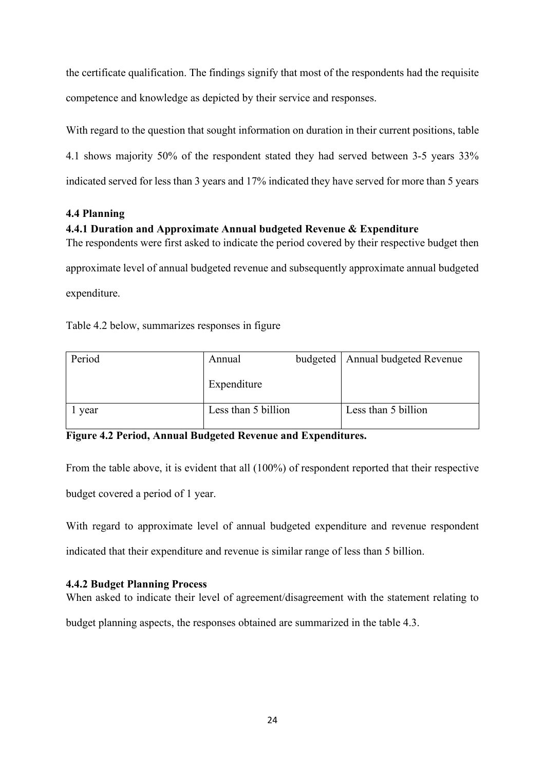the certificate qualification. The findings signify that most of the respondents had the requisite competence and knowledge as depicted by their service and responses.

With regard to the question that sought information on duration in their current positions, table 4.1 shows majority 50% of the respondent stated they had served between 3-5 years 33% indicated served for less than 3 years and 17% indicated they have served for more than 5 years

# <span id="page-29-0"></span>**4.4 Planning**

# <span id="page-29-1"></span>**4.4.1 Duration and Approximate Annual budgeted Revenue & Expenditure**

The respondents were first asked to indicate the period covered by their respective budget then approximate level of annual budgeted revenue and subsequently approximate annual budgeted expenditure.

Table 4.2 below, summarizes responses in figure

| Period | Annual              | budgeted   Annual budgeted Revenue |
|--------|---------------------|------------------------------------|
|        | Expenditure         |                                    |
| vear   | Less than 5 billion | Less than 5 billion                |

**Figure 4.2 Period, Annual Budgeted Revenue and Expenditures.**

From the table above, it is evident that all (100%) of respondent reported that their respective budget covered a period of 1 year.

With regard to approximate level of annual budgeted expenditure and revenue respondent indicated that their expenditure and revenue is similar range of less than 5 billion.

# <span id="page-29-2"></span>**4.4.2 Budget Planning Process**

When asked to indicate their level of agreement/disagreement with the statement relating to budget planning aspects, the responses obtained are summarized in the table 4.3.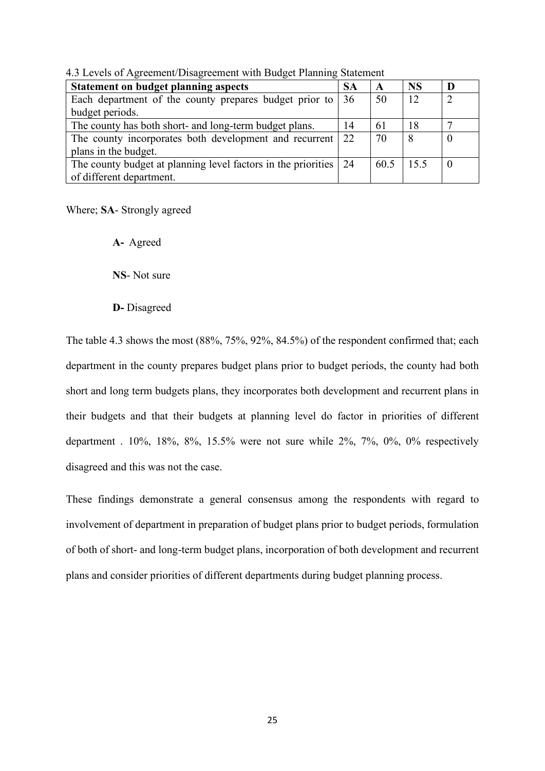| <b>Statement on budget planning aspects</b>                               | <b>SA</b> | $\mathbf A$ | <b>NS</b> |  |
|---------------------------------------------------------------------------|-----------|-------------|-----------|--|
| Each department of the county prepares budget prior to $\vert 36 \rangle$ |           | 50          | 12        |  |
| budget periods.                                                           |           |             |           |  |
| The county has both short- and long-term budget plans.                    | 14        | 61          | 18        |  |
| The county incorporates both development and recurrent 22                 |           | 70          | 8         |  |
| plans in the budget.                                                      |           |             |           |  |
| The county budget at planning level factors in the priorities 24          |           | 60.5        | 15.5      |  |
| of different department.                                                  |           |             |           |  |

<span id="page-30-0"></span>4.3 Levels of Agreement/Disagreement with Budget Planning Statement

Where; **SA**- Strongly agreed

**A-** Agreed

**NS**- Not sure

**D-** Disagreed

The table 4.3 shows the most (88%, 75%, 92%, 84.5%) of the respondent confirmed that; each department in the county prepares budget plans prior to budget periods, the county had both short and long term budgets plans, they incorporates both development and recurrent plans in their budgets and that their budgets at planning level do factor in priorities of different department . 10%, 18%, 8%, 15.5% were not sure while 2%, 7%, 0%, 0% respectively disagreed and this was not the case.

These findings demonstrate a general consensus among the respondents with regard to involvement of department in preparation of budget plans prior to budget periods, formulation of both of short- and long-term budget plans, incorporation of both development and recurrent plans and consider priorities of different departments during budget planning process.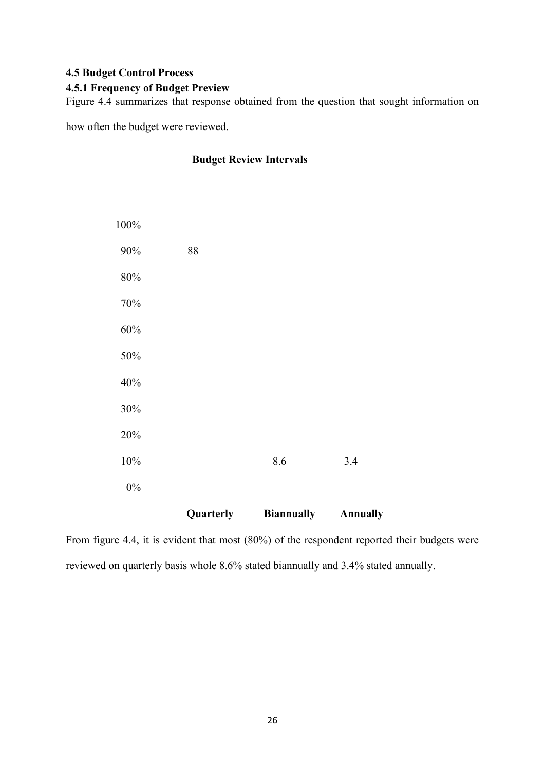# <span id="page-31-0"></span>**4.5 Budget Control Process**

# <span id="page-31-1"></span>**4.5.1 Frequency of Budget Preview**

Figure 4.4 summarizes that response obtained from the question that sought information on

how often the budget were reviewed.

# **Budget Review Intervals**

|        | Quarterly | <b>Biannually</b> | <b>Annually</b> |
|--------|-----------|-------------------|-----------------|
| $0\%$  |           |                   |                 |
| 10%    |           | 8.6               | 3.4             |
| 20%    |           |                   |                 |
| 30%    |           |                   |                 |
| 40%    |           |                   |                 |
| 50%    |           |                   |                 |
| $60\%$ |           |                   |                 |
| $70\%$ |           |                   |                 |
| $80\%$ |           |                   |                 |
| $90\%$ | $\bf 88$  |                   |                 |
| 100%   |           |                   |                 |

From figure 4.4, it is evident that most (80%) of the respondent reported their budgets were reviewed on quarterly basis whole 8.6% stated biannually and 3.4% stated annually.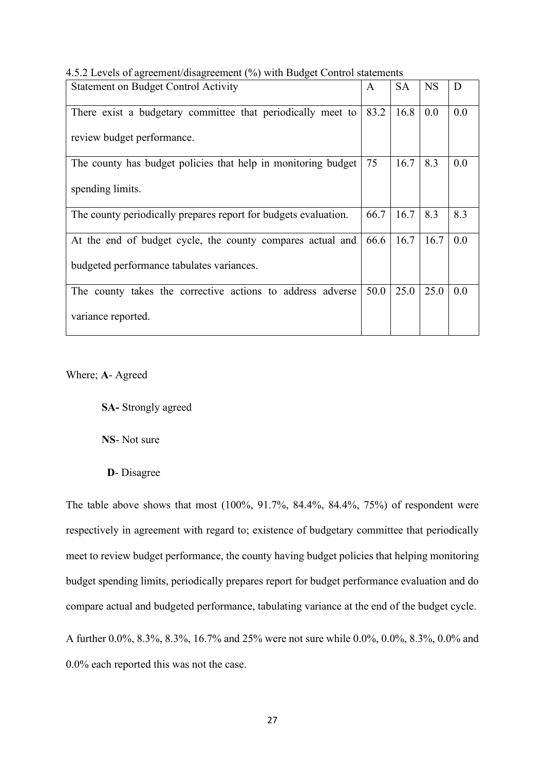| <b>Statement on Budget Control Activity</b>                     | A    | <b>SA</b> | <b>NS</b> | D   |
|-----------------------------------------------------------------|------|-----------|-----------|-----|
| There exist a budgetary committee that periodically meet to     | 83.2 | 16.8      | 0.0       | 0.0 |
| review budget performance.                                      |      |           |           |     |
| The county has budget policies that help in monitoring budget   | 75   | 16.7      | 8.3       | 0.0 |
| spending limits.                                                |      |           |           |     |
| The county periodically prepares report for budgets evaluation. | 66.7 | 16.7      | 8.3       | 8.3 |
| At the end of budget cycle, the county compares actual and      | 66.6 | 16.7      | 16.7      | 0.0 |
| budgeted performance tabulates variances.                       |      |           |           |     |
| The county takes the corrective actions to address adverse      | 50.0 | 25.0      | 25.0      | 0.0 |
| variance reported.                                              |      |           |           |     |

<span id="page-32-0"></span>4.5.2 Levels of agreement/disagreement (%) with Budget Control statements

# Where; **A**- Agreed

**SA-** Strongly agreed

**NS**- Not sure

**D**- Disagree

The table above shows that most (100%, 91.7%, 84.4%, 84.4%, 75%) of respondent were respectively in agreement with regard to; existence of budgetary committee that periodically meet to review budget performance, the county having budget policies that helping monitoring budget spending limits, periodically prepares report for budget performance evaluation and do compare actual and budgeted performance, tabulating variance at the end of the budget cycle.

A further 0.0%, 8.3%, 8.3%, 16.7% and 25% were not sure while 0.0%, 0.0%, 8.3%, 0.0% and 0.0% each reported this was not the case.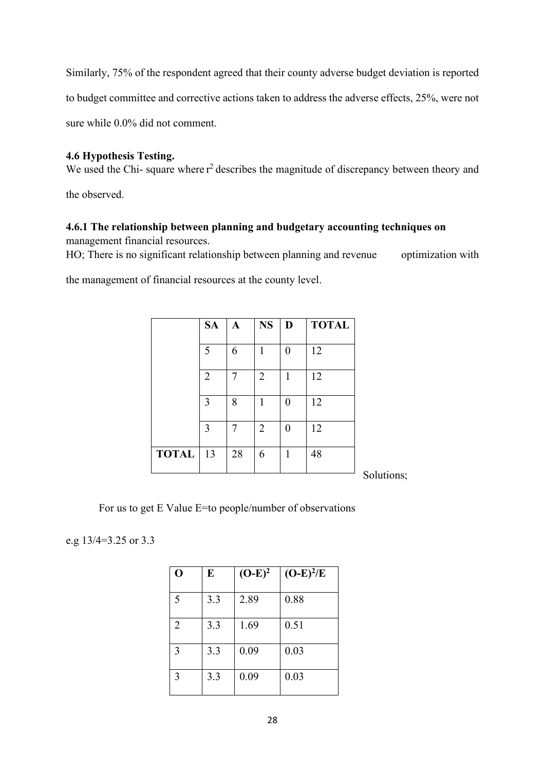Similarly, 75% of the respondent agreed that their county adverse budget deviation is reported to budget committee and corrective actions taken to address the adverse effects, 25%, were not sure while 0.0% did not comment.

# <span id="page-33-0"></span>**4.6 Hypothesis Testing.**

We used the Chi- square where  $r^2$  describes the magnitude of discrepancy between theory and

the observed.

# <span id="page-33-1"></span>**4.6.1 The relationship between planning and budgetary accounting techniques on**

management financial resources.

HO; There is no significant relationship between planning and revenue optimization with

the management of financial resources at the county level.

|              | <b>SA</b>      | $\mathbf A$ | <b>NS</b>      | D | <b>TOTAL</b> |
|--------------|----------------|-------------|----------------|---|--------------|
|              | 5              | 6           | 1              | 0 | 12           |
|              | $\overline{2}$ | 7           | $\overline{2}$ | 1 | 12           |
|              | 3              | 8           | 1              | 0 | 12           |
|              | 3              | 7           | $\overline{2}$ | 0 | 12           |
| <b>TOTAL</b> | 13             | 28          | 6              | 1 | 48           |

Solutions;

For us to get E Value E=to people/number of observations

e.g 13/4=3.25 or 3.3

| Ô              | E   | $(O-E)^2$ | $(O-E)^2/E$ |
|----------------|-----|-----------|-------------|
| 5              | 3.3 | 2.89      | 0.88        |
| $\overline{2}$ | 3.3 | 1.69      | 0.51        |
| 3              | 3.3 | 0.09      | 0.03        |
| 3              | 3.3 | 0.09      | 0.03        |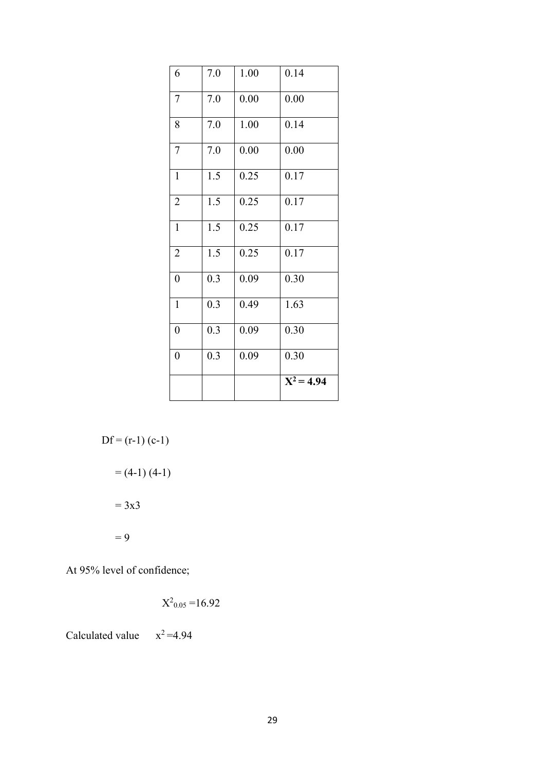| 6                | 7.0 | 1.00 | 0.14         |
|------------------|-----|------|--------------|
| $\overline{7}$   | 7.0 | 0.00 | 0.00         |
| 8                | 7.0 | 1.00 | 0.14         |
| $\overline{7}$   | 7.0 | 0.00 | 0.00         |
| $\mathbf{1}$     | 1.5 | 0.25 | 0.17         |
| $\overline{2}$   | 1.5 | 0.25 | 0.17         |
| $\mathbf{1}$     | 1.5 | 0.25 | 0.17         |
| $\overline{2}$   | 1.5 | 0.25 | 0.17         |
| $\overline{0}$   | 0.3 | 0.09 | 0.30         |
| $\mathbf{1}$     | 0.3 | 0.49 | 1.63         |
| $\boldsymbol{0}$ | 0.3 | 0.09 | 0.30         |
| $\boldsymbol{0}$ | 0.3 | 0.09 | 0.30         |
|                  |     |      | $X^2 = 4.94$ |

$$
Df = (r-1) (c-1)
$$
  
= (4-1) (4-1)  
= 3x3  
= 9

At 95% level of confidence;

$$
X^2_{0.05} = 16.92
$$

Calculated value  $x^2 = 4.94$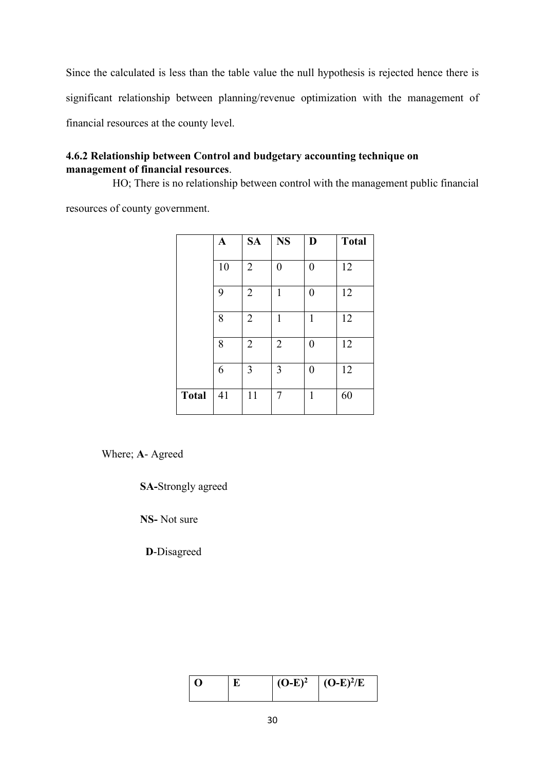Since the calculated is less than the table value the null hypothesis is rejected hence there is significant relationship between planning/revenue optimization with the management of financial resources at the county level.

# <span id="page-35-0"></span>**4.6.2 Relationship between Control and budgetary accounting technique on management of financial resources**.

HO; There is no relationship between control with the management public financial

resources of county government.

|              | A  | <b>SA</b>      | <b>NS</b>      | D              | <b>Total</b> |
|--------------|----|----------------|----------------|----------------|--------------|
|              | 10 | $\overline{2}$ | $\overline{0}$ | $\overline{0}$ | 12           |
|              | 9  | $\overline{2}$ | 1              | $\overline{0}$ | 12           |
|              | 8  | $\overline{2}$ | 1              | 1              | 12           |
|              | 8  | $\overline{2}$ | $\overline{2}$ | 0              | 12           |
|              | 6  | 3              | 3              | 0              | 12           |
| <b>Total</b> | 41 | 11             | 7              | 1              | 60           |

Where; **A**- Agreed

**SA-**Strongly agreed

**NS-** Not sure

**D**-Disagreed

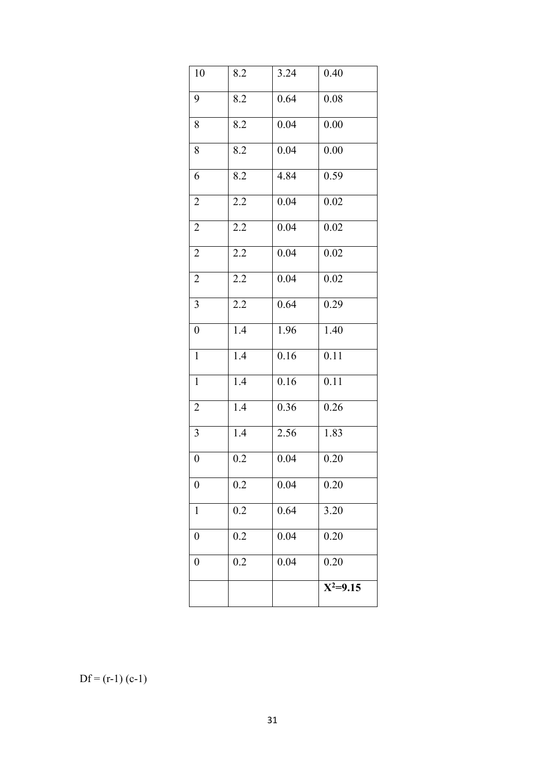| 10               | 8.2              | 3.24 | 0.40       |
|------------------|------------------|------|------------|
| 9                | 8.2              | 0.64 | 0.08       |
| 8                | 8.2              | 0.04 | 0.00       |
| 8                | 8.2              | 0.04 | 0.00       |
| 6                | 8.2              | 4.84 | 0.59       |
| $\overline{2}$   | 2.2              | 0.04 | 0.02       |
| $\overline{c}$   | 2.2              | 0.04 | 0.02       |
| $\overline{2}$   | 2.2              | 0.04 | 0.02       |
| $\overline{c}$   | 2.2              | 0.04 | 0.02       |
| 3                | 2.2              | 0.64 | 0.29       |
| $\boldsymbol{0}$ | 1.4              | 1.96 | 1.40       |
| $\mathbf{1}$     | 1.4              | 0.16 | 0.11       |
| $\mathbf{1}$     | 1.4              | 0.16 | 0.11       |
| $\overline{2}$   | 1.4              | 0.36 | 0.26       |
| $\overline{3}$   | $\overline{1.4}$ | 2.56 | 1.83       |
| $\boldsymbol{0}$ | 0.2              | 0.04 | 0.20       |
| $\boldsymbol{0}$ | 0.2              | 0.04 | 0.20       |
| $\mathbf{1}$     | 0.2              | 0.64 | 3.20       |
| $\boldsymbol{0}$ | 0.2              | 0.04 | 0.20       |
| $\boldsymbol{0}$ | 0.2              | 0.04 | 0.20       |
|                  |                  |      | $X^2=9.15$ |

 $Df = (r-1) (c-1)$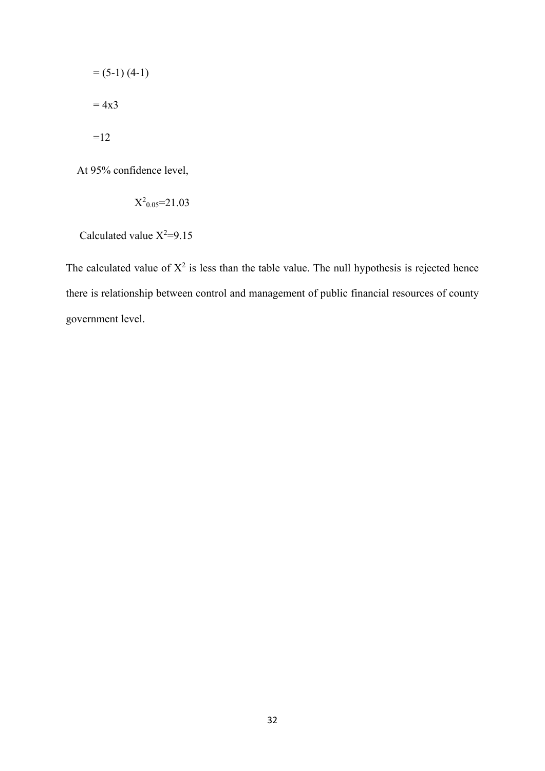$$
= (5-1) (4-1)
$$
  
= 4x3  
=12

At 95% confidence level,

$$
\mathrm{X}^2{}_{0.05}\!\!=\!\!21.03
$$

Calculated value  $X^2=9.15$ 

The calculated value of  $X^2$  is less than the table value. The null hypothesis is rejected hence there is relationship between control and management of public financial resources of county government level.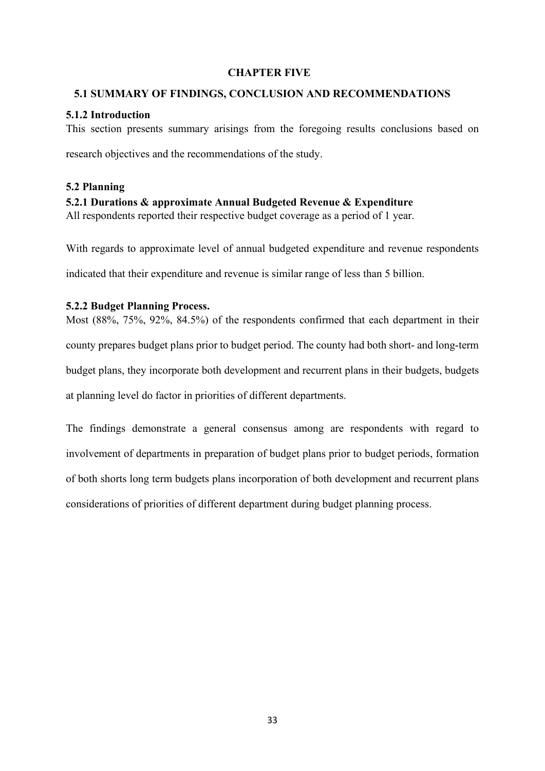## <span id="page-38-0"></span> **CHAPTER FIVE**

#### <span id="page-38-1"></span> **5.1 SUMMARY OF FINDINGS, CONCLUSION AND RECOMMENDATIONS**

#### <span id="page-38-2"></span>**5.1.2 Introduction**

This section presents summary arisings from the foregoing results conclusions based on

research objectives and the recommendations of the study.

# <span id="page-38-3"></span>**5.2 Planning**

# <span id="page-38-4"></span>**5.2.1 Durations & approximate Annual Budgeted Revenue & Expenditure**

All respondents reported their respective budget coverage as a period of 1 year.

With regards to approximate level of annual budgeted expenditure and revenue respondents

indicated that their expenditure and revenue is similar range of less than 5 billion.

#### <span id="page-38-5"></span>**5.2.2 Budget Planning Process.**

Most (88%, 75%, 92%, 84.5%) of the respondents confirmed that each department in their county prepares budget plans prior to budget period. The county had both short- and long-term budget plans, they incorporate both development and recurrent plans in their budgets, budgets at planning level do factor in priorities of different departments.

The findings demonstrate a general consensus among are respondents with regard to involvement of departments in preparation of budget plans prior to budget periods, formation of both shorts long term budgets plans incorporation of both development and recurrent plans considerations of priorities of different department during budget planning process.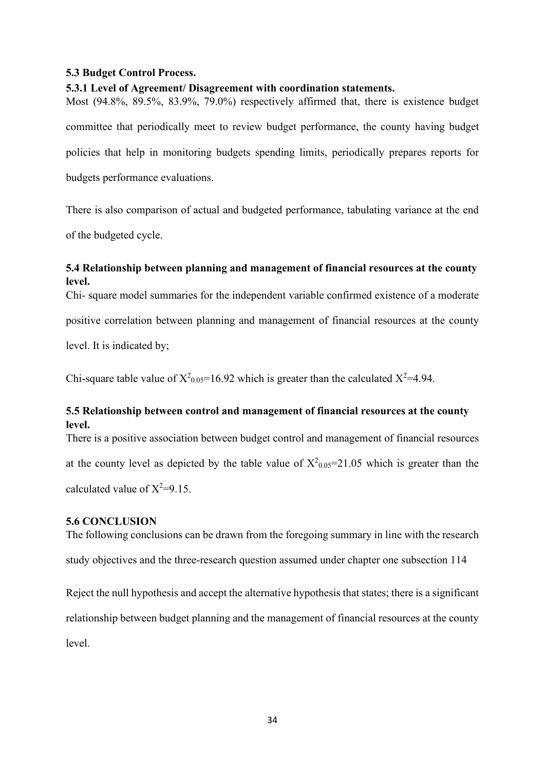## <span id="page-39-0"></span>**5.3 Budget Control Process.**

## <span id="page-39-1"></span>**5.3.1 Level of Agreement/ Disagreement with coordination statements.**

Most (94.8%, 89.5%, 83.9%, 79.0%) respectively affirmed that, there is existence budget committee that periodically meet to review budget performance, the county having budget policies that help in monitoring budgets spending limits, periodically prepares reports for budgets performance evaluations.

There is also comparison of actual and budgeted performance, tabulating variance at the end of the budgeted cycle.

# <span id="page-39-2"></span>**5.4 Relationship between planning and management of financial resources at the county level.**

Chi- square model summaries for the independent variable confirmed existence of a moderate

positive correlation between planning and management of financial resources at the county

level. It is indicated by;

Chi-square table value of  $X^2_{0.05}$ =16.92 which is greater than the calculated  $X^2$ =4.94.

# <span id="page-39-3"></span>**5.5 Relationship between control and management of financial resources at the county level.**

There is a positive association between budget control and management of financial resources at the county level as depicted by the table value of  $X^2_{0.05}=21.05$  which is greater than the calculated value of  $X^2=9.15$ .

#### <span id="page-39-4"></span>**5.6 CONCLUSION**

The following conclusions can be drawn from the foregoing summary in line with the research study objectives and the three-research question assumed under chapter one subsection 114

Reject the null hypothesis and accept the alternative hypothesis that states; there is a significant relationship between budget planning and the management of financial resources at the county level.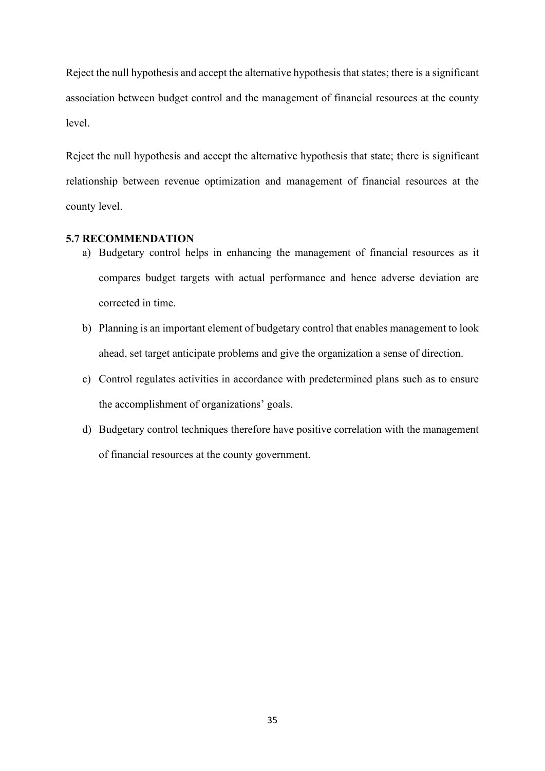Reject the null hypothesis and accept the alternative hypothesis that states; there is a significant association between budget control and the management of financial resources at the county level.

Reject the null hypothesis and accept the alternative hypothesis that state; there is significant relationship between revenue optimization and management of financial resources at the county level.

# <span id="page-40-0"></span>**5.7 RECOMMENDATION**

- a) Budgetary control helps in enhancing the management of financial resources as it compares budget targets with actual performance and hence adverse deviation are corrected in time.
- b) Planning is an important element of budgetary control that enables management to look ahead, set target anticipate problems and give the organization a sense of direction.
- c) Control regulates activities in accordance with predetermined plans such as to ensure the accomplishment of organizations' goals.
- d) Budgetary control techniques therefore have positive correlation with the management of financial resources at the county government.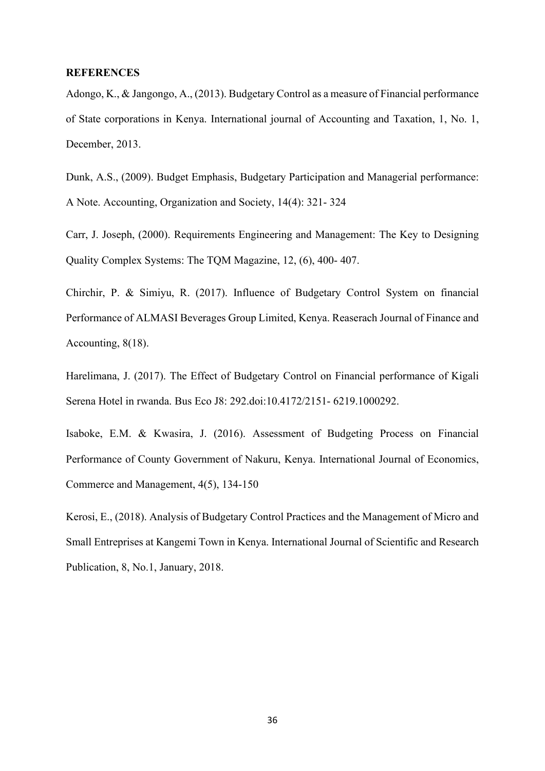#### <span id="page-41-0"></span>**REFERENCES**

Adongo, K., & Jangongo, A., (2013). Budgetary Control as a measure of Financial performance of State corporations in Kenya. International journal of Accounting and Taxation, 1, No. 1, December, 2013.

Dunk, A.S., (2009). Budget Emphasis, Budgetary Participation and Managerial performance: A Note. Accounting, Organization and Society, 14(4): 321- 324

Carr, J. Joseph, (2000). Requirements Engineering and Management: The Key to Designing Quality Complex Systems: The TQM Magazine, 12, (6), 400- 407.

Chirchir, P. & Simiyu, R. (2017). Influence of Budgetary Control System on financial Performance of ALMASI Beverages Group Limited, Kenya. Reaserach Journal of Finance and Accounting, 8(18).

Harelimana, J. (2017). The Effect of Budgetary Control on Financial performance of Kigali Serena Hotel in rwanda. Bus Eco J8: 292.doi:10.4172/2151- 6219.1000292.

Isaboke, E.M. & Kwasira, J. (2016). Assessment of Budgeting Process on Financial Performance of County Government of Nakuru, Kenya. International Journal of Economics, Commerce and Management, 4(5), 134-150

Kerosi, E., (2018). Analysis of Budgetary Control Practices and the Management of Micro and Small Entreprises at Kangemi Town in Kenya. International Journal of Scientific and Research Publication, 8, No.1, January, 2018.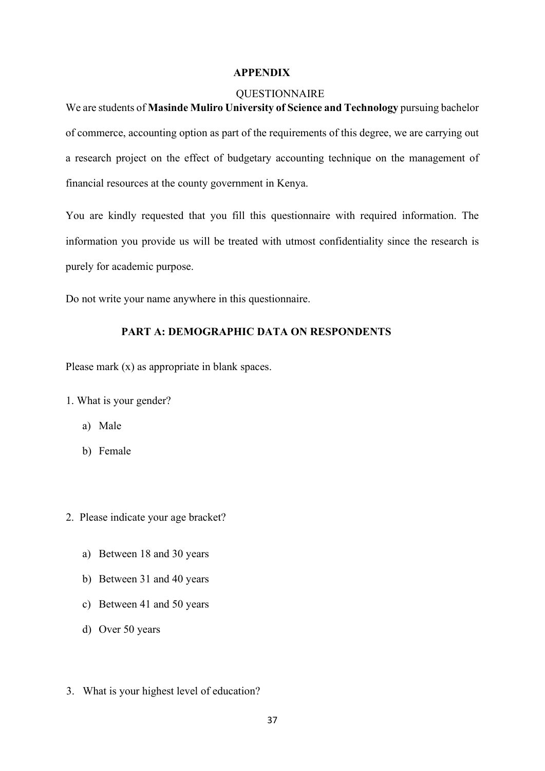#### <span id="page-42-0"></span> **APPENDIX**

#### <span id="page-42-1"></span>**QUESTIONNAIRE**

We are students of **Masinde Muliro University of Science and Technology** pursuing bachelor of commerce, accounting option as part of the requirements of this degree, we are carrying out a research project on the effect of budgetary accounting technique on the management of financial resources at the county government in Kenya.

You are kindly requested that you fill this questionnaire with required information. The information you provide us will be treated with utmost confidentiality since the research is purely for academic purpose.

Do not write your name anywhere in this questionnaire.

# **PART A: DEMOGRAPHIC DATA ON RESPONDENTS**

Please mark (x) as appropriate in blank spaces.

- 1. What is your gender?
	- a) Male
	- b) Female
- 2. Please indicate your age bracket?
	- a) Between 18 and 30 years
	- b) Between 31 and 40 years
	- c) Between 41 and 50 years
	- d) Over 50 years
- 3. What is your highest level of education?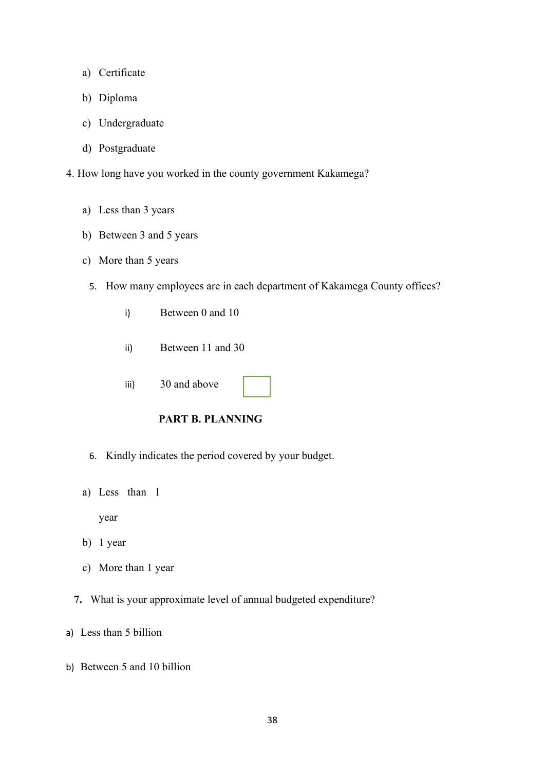- a) Certificate
- b) Diploma
- c) Undergraduate
- d) Postgraduate
- 4. How long have you worked in the county government Kakamega?
	- a) Less than 3 years
	- b) Between 3 and 5 years
	- c) More than 5 years
		- 5. How many employees are in each department of Kakamega County offices?
			- i) Between 0 and 10
			- ii) Between 11 and 30
			- iii) 30 and above



- 6. Kindly indicates the period covered by your budget.
- a) Less than 1

year

- b) 1 year
- c) More than 1 year
- **7.** What is your approximate level of annual budgeted expenditure?
- a) Less than 5 billion
- b) Between 5 and 10 billion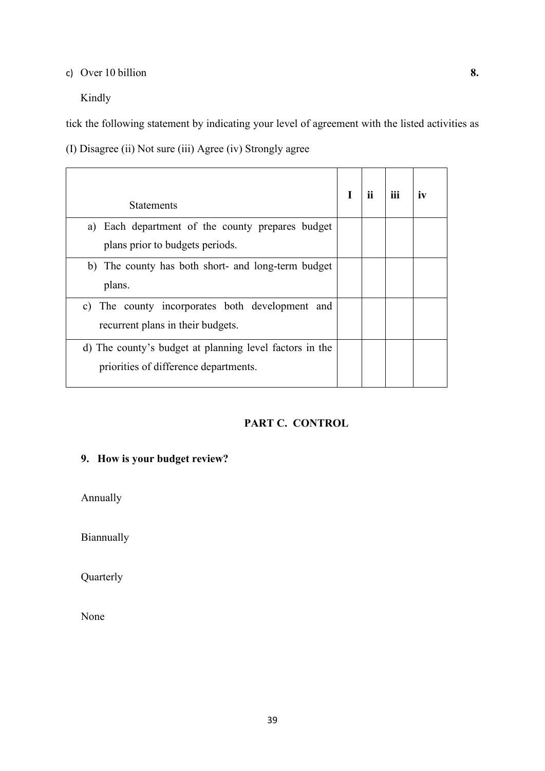# c) Over 10 billion **8.**

Kindly

tick the following statement by indicating your level of agreement with the listed activities as

(I) Disagree (ii) Not sure (iii) Agree (iv) Strongly agree

| <b>Statements</b>                                                                                | П | iii | IV |
|--------------------------------------------------------------------------------------------------|---|-----|----|
| a) Each department of the county prepares budget                                                 |   |     |    |
| plans prior to budgets periods.                                                                  |   |     |    |
| b) The county has both short- and long-term budget<br>plans.                                     |   |     |    |
| c) The county incorporates both development and<br>recurrent plans in their budgets.             |   |     |    |
| d) The county's budget at planning level factors in the<br>priorities of difference departments. |   |     |    |

# **PART C. CONTROL**

# **9. How is your budget review?**

Annually

Biannually

Quarterly

None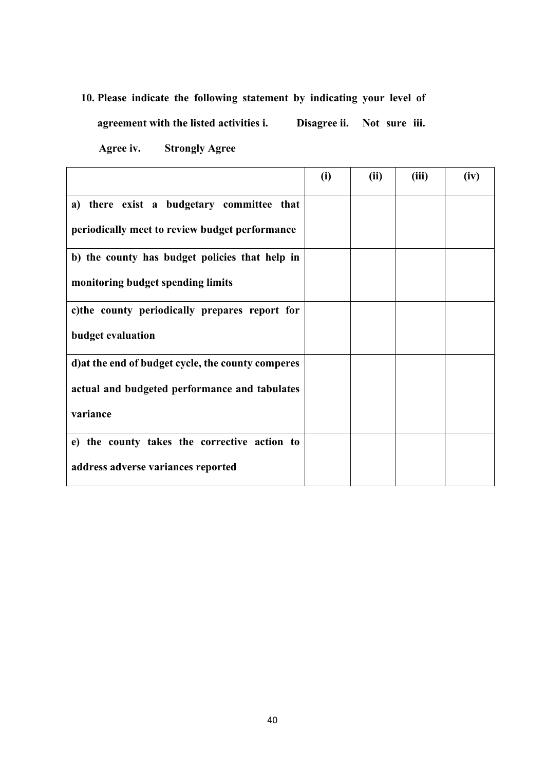# **10. Please indicate the following statement by indicating your level of agreement with the listed activities i. Disagree ii. Not sure iii.**

**Agree iv. Strongly Agree** 

|                                                    | (i) | (ii) | (iii) | (iv) |
|----------------------------------------------------|-----|------|-------|------|
| a) there exist a budgetary committee that          |     |      |       |      |
| periodically meet to review budget performance     |     |      |       |      |
| b) the county has budget policies that help in     |     |      |       |      |
| monitoring budget spending limits                  |     |      |       |      |
| c) the county periodically prepares report for     |     |      |       |      |
| <b>budget evaluation</b>                           |     |      |       |      |
| d) at the end of budget cycle, the county comperes |     |      |       |      |
| actual and budgeted performance and tabulates      |     |      |       |      |
| variance                                           |     |      |       |      |
| e) the county takes the corrective action to       |     |      |       |      |
| address adverse variances reported                 |     |      |       |      |